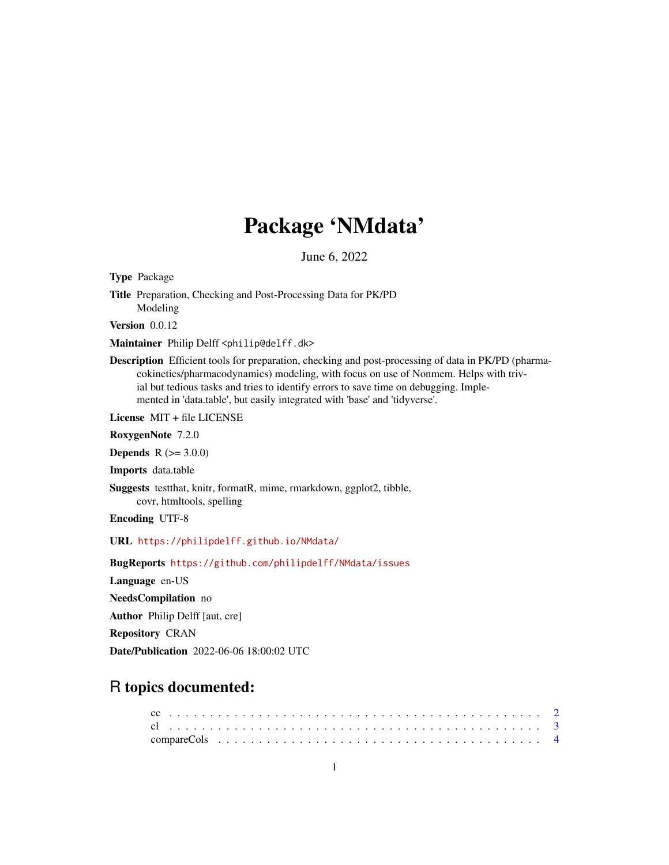# Package 'NMdata'

June 6, 2022

<span id="page-0-0"></span>Type Package Title Preparation, Checking and Post-Processing Data for PK/PD Modeling Version 0.0.12 Maintainer Philip Delff <philip@delff.dk> Description Efficient tools for preparation, checking and post-processing of data in PK/PD (pharmacokinetics/pharmacodynamics) modeling, with focus on use of Nonmem. Helps with trivial but tedious tasks and tries to identify errors to save time on debugging. Implemented in 'data.table', but easily integrated with 'base' and 'tidyverse'. License MIT + file LICENSE RoxygenNote 7.2.0 **Depends**  $R (= 3.0.0)$ Imports data.table Suggests testthat, knitr, formatR, mime, rmarkdown, ggplot2, tibble, covr, htmltools, spelling Encoding UTF-8 URL <https://philipdelff.github.io/NMdata/> BugReports <https://github.com/philipdelff/NMdata/issues> Language en-US NeedsCompilation no Author Philip Delff [aut, cre] Repository CRAN

Date/Publication 2022-06-06 18:00:02 UTC

# R topics documented: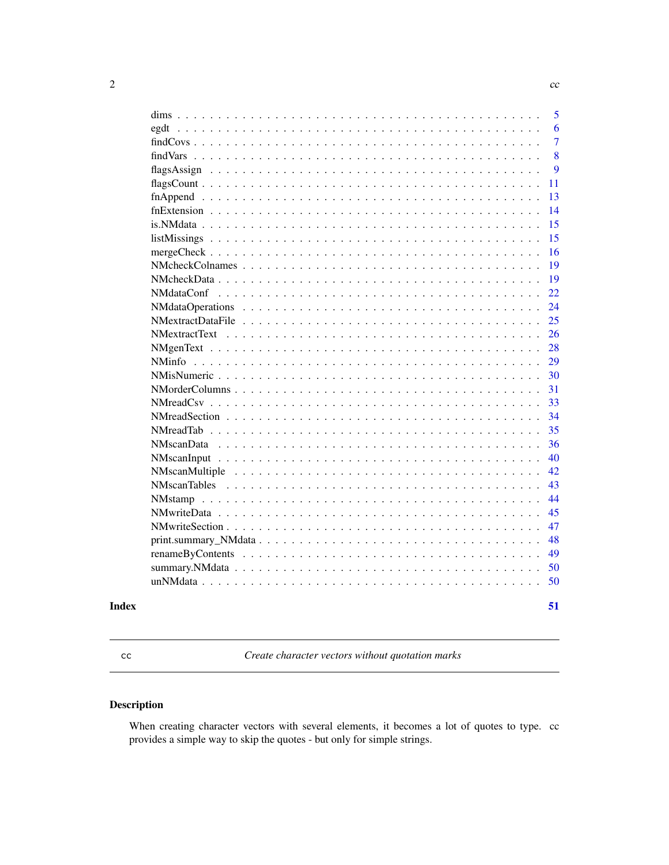|  |  |  |  |  |  |  |  |  |  |  | 5              |
|--|--|--|--|--|--|--|--|--|--|--|----------------|
|  |  |  |  |  |  |  |  |  |  |  | 6              |
|  |  |  |  |  |  |  |  |  |  |  | $\overline{7}$ |
|  |  |  |  |  |  |  |  |  |  |  | 8              |
|  |  |  |  |  |  |  |  |  |  |  | 9              |
|  |  |  |  |  |  |  |  |  |  |  | 11             |
|  |  |  |  |  |  |  |  |  |  |  | 13             |
|  |  |  |  |  |  |  |  |  |  |  | 14             |
|  |  |  |  |  |  |  |  |  |  |  | 15             |
|  |  |  |  |  |  |  |  |  |  |  | 15             |
|  |  |  |  |  |  |  |  |  |  |  | 16             |
|  |  |  |  |  |  |  |  |  |  |  | 19             |
|  |  |  |  |  |  |  |  |  |  |  | 19             |
|  |  |  |  |  |  |  |  |  |  |  | 22             |
|  |  |  |  |  |  |  |  |  |  |  | 24             |
|  |  |  |  |  |  |  |  |  |  |  | 25             |
|  |  |  |  |  |  |  |  |  |  |  | 26             |
|  |  |  |  |  |  |  |  |  |  |  | 28             |
|  |  |  |  |  |  |  |  |  |  |  | 29             |
|  |  |  |  |  |  |  |  |  |  |  | 30             |
|  |  |  |  |  |  |  |  |  |  |  | 31             |
|  |  |  |  |  |  |  |  |  |  |  | 33             |
|  |  |  |  |  |  |  |  |  |  |  | 34             |
|  |  |  |  |  |  |  |  |  |  |  | 35             |
|  |  |  |  |  |  |  |  |  |  |  | 36             |
|  |  |  |  |  |  |  |  |  |  |  | 40             |
|  |  |  |  |  |  |  |  |  |  |  | 42             |
|  |  |  |  |  |  |  |  |  |  |  | 43             |
|  |  |  |  |  |  |  |  |  |  |  | 44             |
|  |  |  |  |  |  |  |  |  |  |  | 45             |
|  |  |  |  |  |  |  |  |  |  |  | 47             |
|  |  |  |  |  |  |  |  |  |  |  | 48             |
|  |  |  |  |  |  |  |  |  |  |  | 49             |
|  |  |  |  |  |  |  |  |  |  |  | 50             |
|  |  |  |  |  |  |  |  |  |  |  | 50             |
|  |  |  |  |  |  |  |  |  |  |  | 51             |
|  |  |  |  |  |  |  |  |  |  |  |                |

cc *Create character vectors without quotation marks*

# Description

When creating character vectors with several elements, it becomes a lot of quotes to type. cc provides a simple way to skip the quotes - but only for simple strings.

<span id="page-1-0"></span>2 cc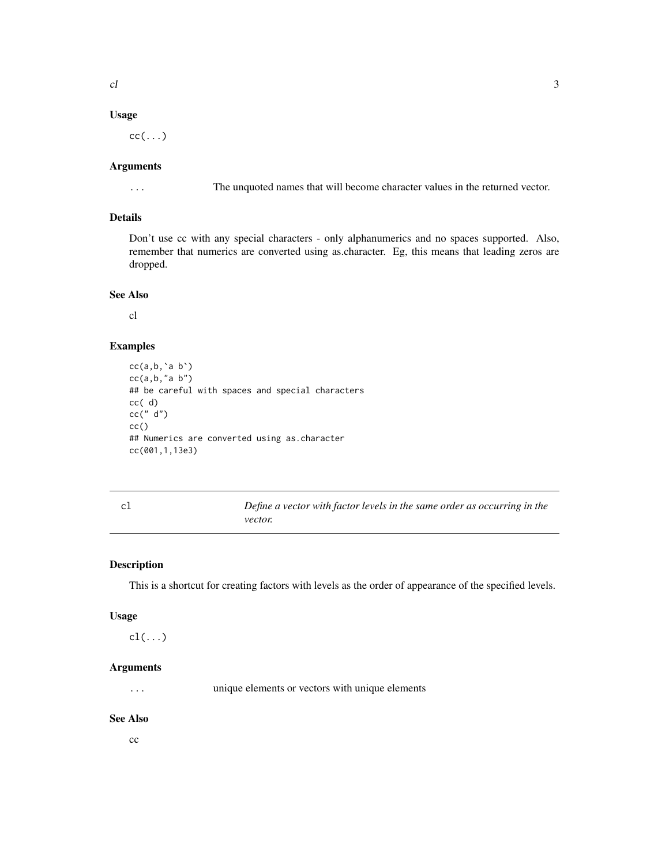# <span id="page-2-0"></span>Usage

 $cc(\ldots)$ 

#### Arguments

... The unquoted names that will become character values in the returned vector.

# Details

Don't use cc with any special characters - only alphanumerics and no spaces supported. Also, remember that numerics are converted using as.character. Eg, this means that leading zeros are dropped.

#### See Also

cl

#### Examples

```
cc(a, b, \land a, b')cc(a, b, "a b")## be careful with spaces and special characters
cc( d)
cc(" d")
cc()
## Numerics are converted using as.character
cc(001,1,13e3)
```

| cl | Define a vector with factor levels in the same order as occurring in the |
|----|--------------------------------------------------------------------------|
|    | vector.                                                                  |

# Description

This is a shortcut for creating factors with levels as the order of appearance of the specified levels.

#### Usage

cl(...)

# Arguments

... unique elements or vectors with unique elements

# See Also

 $cc$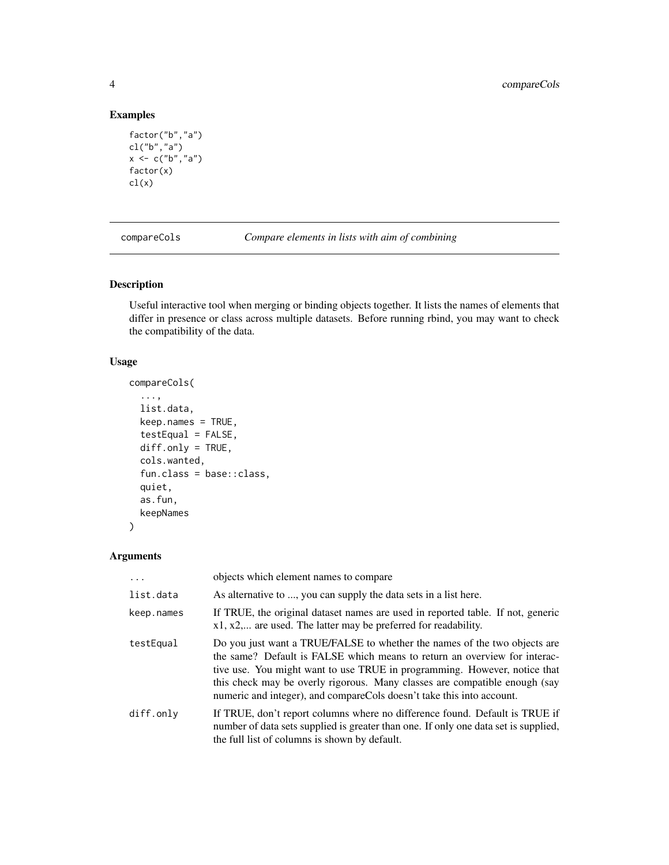# Examples

```
factor("b","a")
cl("b","a")
x < -c("b", "a")factor(x)
cl(x)
```
<span id="page-3-1"></span>compareCols *Compare elements in lists with aim of combining*

# Description

Useful interactive tool when merging or binding objects together. It lists the names of elements that differ in presence or class across multiple datasets. Before running rbind, you may want to check the compatibility of the data.

# Usage

```
compareCols(
  ...,
  list.data,
 keep.names = TRUE,
  testEqual = FALSE,
 diff.only = TRUE,
  cols.wanted,
  fun.class = base::class,
  quiet,
  as.fun,
 keepNames
)
```

| .          | objects which element names to compare                                                                                                                                                                                                                                                                                                                                                     |
|------------|--------------------------------------------------------------------------------------------------------------------------------------------------------------------------------------------------------------------------------------------------------------------------------------------------------------------------------------------------------------------------------------------|
| list.data  | As alternative to , you can supply the data sets in a list here.                                                                                                                                                                                                                                                                                                                           |
| keep.names | If TRUE, the original dataset names are used in reported table. If not, generic<br>x1, x2, are used. The latter may be preferred for readability.                                                                                                                                                                                                                                          |
| testEqual  | Do you just want a TRUE/FALSE to whether the names of the two objects are<br>the same? Default is FALSE which means to return an overview for interac-<br>tive use. You might want to use TRUE in programming. However, notice that<br>this check may be overly rigorous. Many classes are compatible enough (say<br>numeric and integer), and compareCols doesn't take this into account. |
| diff.only  | If TRUE, don't report columns where no difference found. Default is TRUE if<br>number of data sets supplied is greater than one. If only one data set is supplied,<br>the full list of columns is shown by default.                                                                                                                                                                        |

<span id="page-3-0"></span>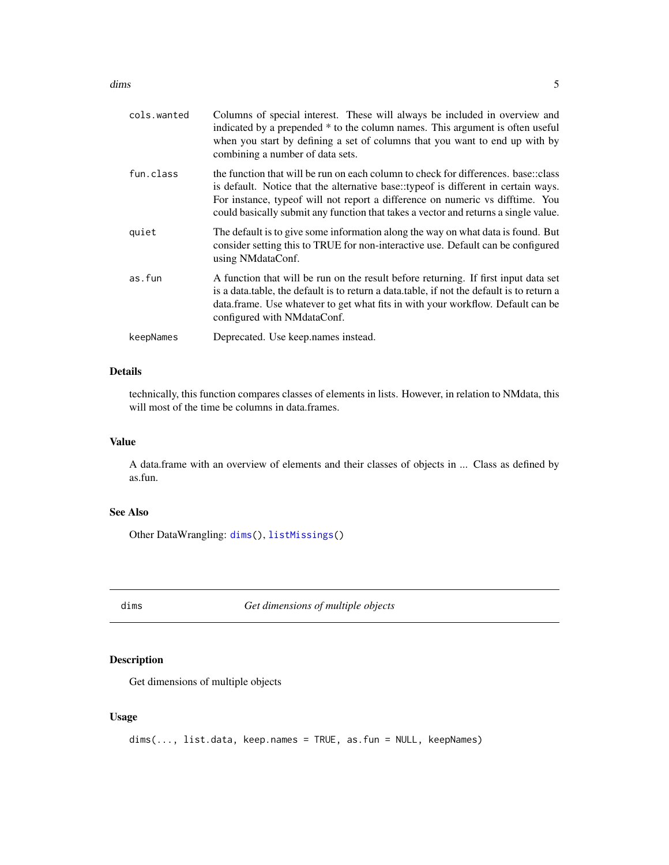#### <span id="page-4-0"></span>dims 5

| cols.wanted | Columns of special interest. These will always be included in overview and<br>indicated by a prepended * to the column names. This argument is often useful<br>when you start by defining a set of columns that you want to end up with by<br>combining a number of data sets.                                                                   |
|-------------|--------------------------------------------------------------------------------------------------------------------------------------------------------------------------------------------------------------------------------------------------------------------------------------------------------------------------------------------------|
| fun.class   | the function that will be run on each column to check for differences, base: class<br>is default. Notice that the alternative base::typeof is different in certain ways.<br>For instance, typeof will not report a difference on numeric vs difftime. You<br>could basically submit any function that takes a vector and returns a single value. |
| quiet       | The default is to give some information along the way on what data is found. But<br>consider setting this to TRUE for non-interactive use. Default can be configured<br>using NMdataConf.                                                                                                                                                        |
| as.fun      | A function that will be run on the result before returning. If first input data set<br>is a data.table, the default is to return a data.table, if not the default is to return a<br>data.frame. Use whatever to get what fits in with your workflow. Default can be<br>configured with NMdataConf.                                               |
| keepNames   | Deprecated. Use keep.names instead.                                                                                                                                                                                                                                                                                                              |
|             |                                                                                                                                                                                                                                                                                                                                                  |

# Details

technically, this function compares classes of elements in lists. However, in relation to NMdata, this will most of the time be columns in data.frames.

### Value

A data.frame with an overview of elements and their classes of objects in ... Class as defined by as.fun.

# See Also

Other DataWrangling: [dims\(](#page-4-1)), [listMissings\(](#page-14-1))

<span id="page-4-1"></span>dims *Get dimensions of multiple objects*

# Description

Get dimensions of multiple objects

# Usage

```
dims(..., list.data, keep.names = TRUE, as.fun = NULL, keepNames)
```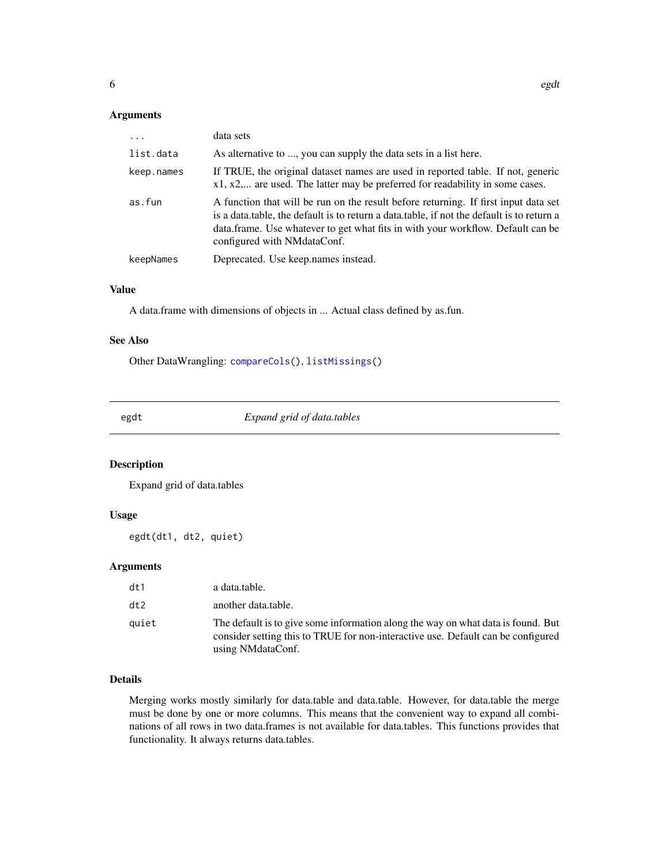#### <span id="page-5-0"></span>Arguments

| .          | data sets                                                                                                                                                                                                                                                                                            |
|------------|------------------------------------------------------------------------------------------------------------------------------------------------------------------------------------------------------------------------------------------------------------------------------------------------------|
| list.data  | As alternative to , you can supply the data sets in a list here.                                                                                                                                                                                                                                     |
| keep.names | If TRUE, the original dataset names are used in reported table. If not, generic<br>x1, x2, are used. The latter may be preferred for readability in some cases.                                                                                                                                      |
| as.fun     | A function that will be run on the result before returning. If first input data set<br>is a data.table, the default is to return a data.table, if not the default is to return a<br>data.frame. Use whatever to get what fits in with your workflow. Default can be<br>configured with NM data Conf. |
| keepNames  | Deprecated. Use keep names instead.                                                                                                                                                                                                                                                                  |

# Value

A data.frame with dimensions of objects in ... Actual class defined by as.fun.

#### See Also

Other DataWrangling: [compareCols\(](#page-3-1)), [listMissings\(](#page-14-1))

egdt *Expand grid of data.tables*

# Description

Expand grid of data.tables

# Usage

egdt(dt1, dt2, quiet)

# Arguments

| dt1   | a data.table.                                                                                                                                                                               |
|-------|---------------------------------------------------------------------------------------------------------------------------------------------------------------------------------------------|
| dt2   | another data.table.                                                                                                                                                                         |
| auiet | The default is to give some information along the way on what data is found. But<br>consider setting this to TRUE for non-interactive use. Default can be configured<br>using NM data Conf. |

# Details

Merging works mostly similarly for data.table and data.table. However, for data.table the merge must be done by one or more columns. This means that the convenient way to expand all combinations of all rows in two data.frames is not available for data.tables. This functions provides that functionality. It always returns data.tables.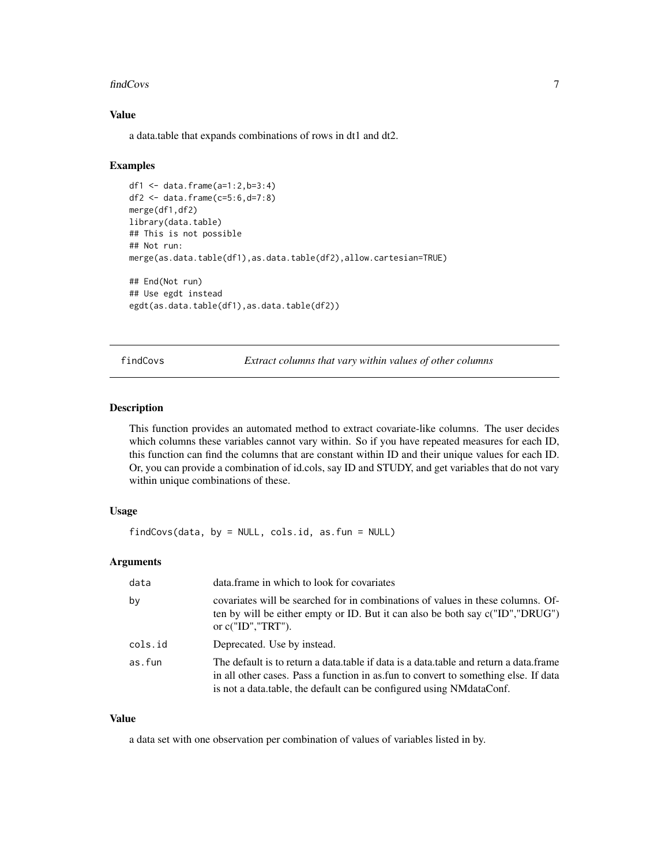#### <span id="page-6-0"></span>findCovs 7

### Value

a data.table that expands combinations of rows in dt1 and dt2.

#### Examples

```
df1 <- data.frame(a=1:2,b=3:4)
df2 <- data.frame(c=5:6,d=7:8)
merge(df1,df2)
library(data.table)
## This is not possible
## Not run:
merge(as.data.table(df1),as.data.table(df2),allow.cartesian=TRUE)
## End(Not run)
## Use egdt instead
egdt(as.data.table(df1),as.data.table(df2))
```
<span id="page-6-1"></span>findCovs *Extract columns that vary within values of other columns*

#### Description

This function provides an automated method to extract covariate-like columns. The user decides which columns these variables cannot vary within. So if you have repeated measures for each ID, this function can find the columns that are constant within ID and their unique values for each ID. Or, you can provide a combination of id.cols, say ID and STUDY, and get variables that do not vary within unique combinations of these.

# Usage

findCovs(data, by = NULL, cols.id, as.fun = NULL)

#### Arguments

| data    | data. frame in which to look for covariates                                                                                                                                                                                                             |
|---------|---------------------------------------------------------------------------------------------------------------------------------------------------------------------------------------------------------------------------------------------------------|
| by      | covariates will be searched for in combinations of values in these columns. Of-<br>ten by will be either empty or ID. But it can also be both say c("ID","DRUG")<br>or $c("ID", "TRT").$                                                                |
| cols.id | Deprecated. Use by instead.                                                                                                                                                                                                                             |
| as.fun  | The default is to return a data, table if data is a data, table and return a data, frame<br>in all other cases. Pass a function in as fun to convert to something else. If data<br>is not a data.table, the default can be configured using NMdataConf. |

# Value

a data set with one observation per combination of values of variables listed in by.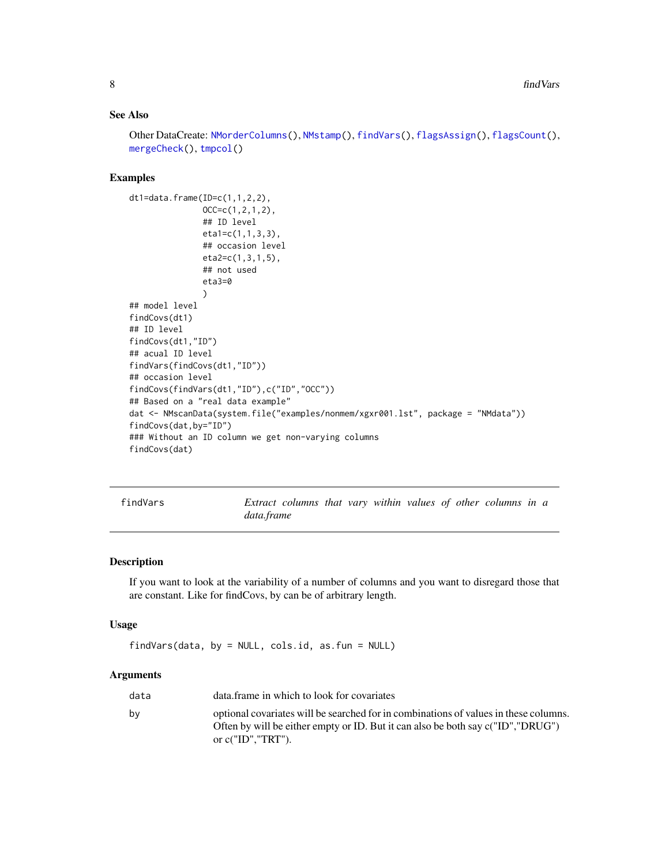# <span id="page-7-0"></span>See Also

```
Other DataCreate: NMorderColumns(), NMstamp(), findVars(), flagsAssign(), flagsCount(),
mergeCheck(), tmpcol()
```
#### Examples

```
dt1=data.frame(ID=c(1,1,2,2),
               OCC=c(1, 2, 1, 2),## ID level
               eta1=c(1,1,3,3),
               ## occasion level
               eta2=c(1,3,1,5),
               ## not used
               eta3=0
               )
## model level
findCovs(dt1)
## ID level
findCovs(dt1,"ID")
## acual ID level
findVars(findCovs(dt1,"ID"))
## occasion level
findCovs(findVars(dt1,"ID"),c("ID","OCC"))
## Based on a "real data example"
dat <- NMscanData(system.file("examples/nonmem/xgxr001.lst", package = "NMdata"))
findCovs(dat,by="ID")
### Without an ID column we get non-varying columns
findCovs(dat)
```
<span id="page-7-1"></span>findVars *Extract columns that vary within values of other columns in a data.frame*

#### Description

If you want to look at the variability of a number of columns and you want to disregard those that are constant. Like for findCovs, by can be of arbitrary length.

#### Usage

findVars(data, by = NULL, cols.id, as.fun = NULL)

| data | data. frame in which to look for covariates                                                                                                                                                     |
|------|-------------------------------------------------------------------------------------------------------------------------------------------------------------------------------------------------|
| bv   | optional covariates will be searched for in combinations of values in these columns.<br>Often by will be either empty or ID. But it can also be both say c("ID","DRUG")<br>or $c("ID", "TRT").$ |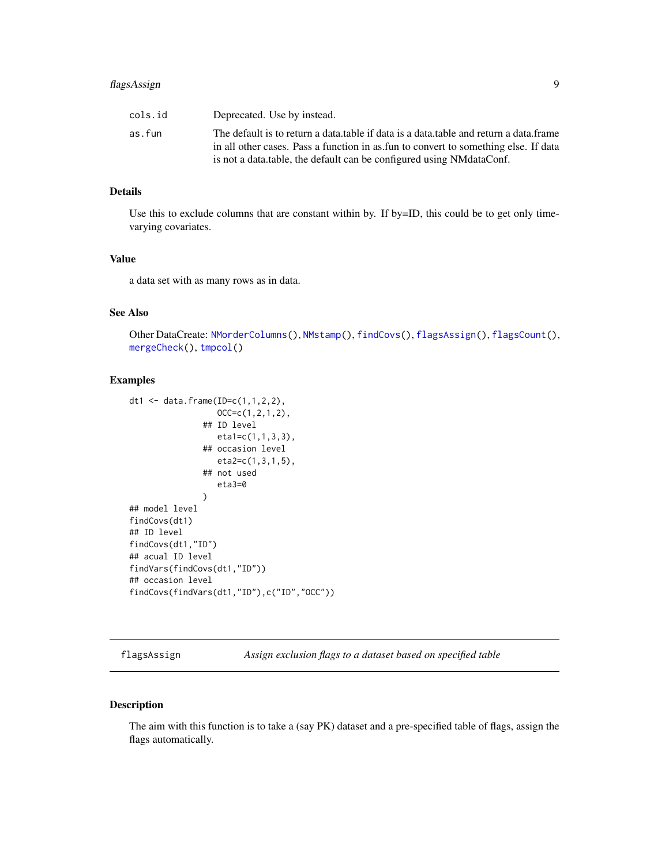# <span id="page-8-0"></span>flagsAssign 9

| cols.id | Deprecated. Use by instead.                                                           |
|---------|---------------------------------------------------------------------------------------|
| as.fun  | The default is to return a data table if data is a data table and return a data frame |
|         | in all other cases. Pass a function in as fun to convert to something else. If data   |
|         | is not a data table, the default can be configured using NM data Conf.                |

# Details

Use this to exclude columns that are constant within by. If by=ID, this could be to get only timevarying covariates.

#### Value

a data set with as many rows as in data.

# See Also

Other DataCreate: [NMorderColumns\(](#page-30-1)), [NMstamp\(](#page-43-1)), [findCovs\(](#page-6-1)), [flagsAssign\(](#page-8-1)), [flagsCount\(](#page-10-1)), [mergeCheck\(](#page-15-1)), [tmpcol\(](#page-0-0))

#### Examples

```
dt1 <- data.frame(ID=c(1,1,2,2),
                  OCC=c(1,2,1,2),
               ## ID level
                  eta1=c(1,1,3,3),
                ## occasion level
                  eta2=c(1,3,1,5),
               ## not used
                   eta3=0
                \mathcal{L}## model level
findCovs(dt1)
## ID level
findCovs(dt1,"ID")
## acual ID level
findVars(findCovs(dt1,"ID"))
## occasion level
findCovs(findVars(dt1,"ID"),c("ID","OCC"))
```
<span id="page-8-1"></span>flagsAssign *Assign exclusion flags to a dataset based on specified table*

#### Description

The aim with this function is to take a (say PK) dataset and a pre-specified table of flags, assign the flags automatically.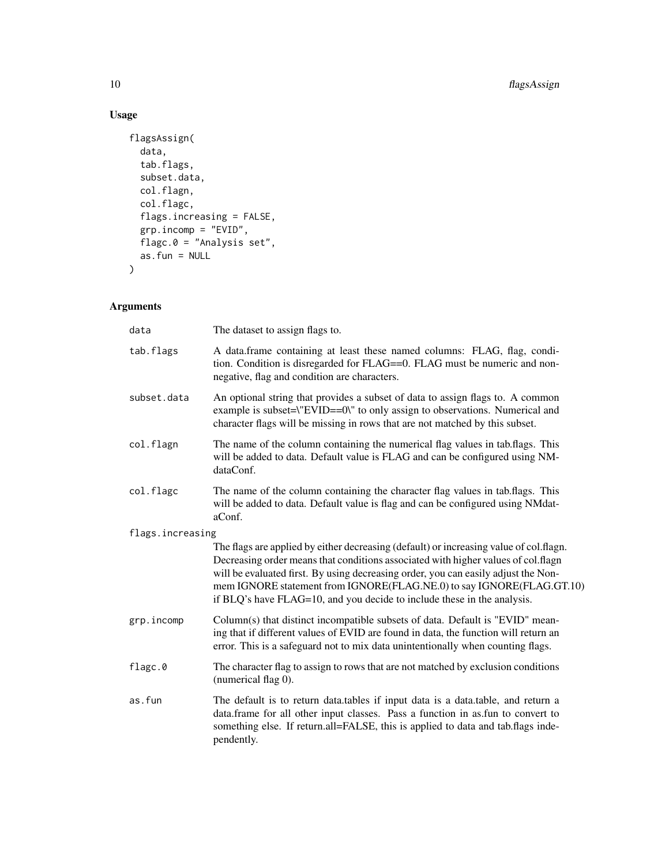# Usage

```
flagsAssign(
  data,
  tab.flags,
  subset.data,
  col.flagn,
  col.flagc,
  flags.increasing = FALSE,
  grp.incomp = "EVID",
  flagc.0 = "Analysis set",
  as.fun = NULL\mathcal{L}
```

| data             | The dataset to assign flags to.                                                                                                                                                                                                                                                                                                                                                                                       |
|------------------|-----------------------------------------------------------------------------------------------------------------------------------------------------------------------------------------------------------------------------------------------------------------------------------------------------------------------------------------------------------------------------------------------------------------------|
| tab.flags        | A data.frame containing at least these named columns: FLAG, flag, condi-<br>tion. Condition is disregarded for FLAG==0. FLAG must be numeric and non-<br>negative, flag and condition are characters.                                                                                                                                                                                                                 |
| subset.data      | An optional string that provides a subset of data to assign flags to. A common<br>example is subset=\"EVID==0\" to only assign to observations. Numerical and<br>character flags will be missing in rows that are not matched by this subset.                                                                                                                                                                         |
| col.flagn        | The name of the column containing the numerical flag values in tab.flags. This<br>will be added to data. Default value is FLAG and can be configured using NM-<br>dataConf.                                                                                                                                                                                                                                           |
| col.flagc        | The name of the column containing the character flag values in tab.flags. This<br>will be added to data. Default value is flag and can be configured using NMdat-<br>aConf.                                                                                                                                                                                                                                           |
| flags.increasing |                                                                                                                                                                                                                                                                                                                                                                                                                       |
|                  | The flags are applied by either decreasing (default) or increasing value of col.flagn.<br>Decreasing order means that conditions associated with higher values of col.flagn<br>will be evaluated first. By using decreasing order, you can easily adjust the Non-<br>mem IGNORE statement from IGNORE(FLAG.NE.0) to say IGNORE(FLAG.GT.10)<br>if BLQ's have FLAG=10, and you decide to include these in the analysis. |
| grp.incomp       | Column(s) that distinct incompatible subsets of data. Default is "EVID" mean-<br>ing that if different values of EVID are found in data, the function will return an<br>error. This is a safeguard not to mix data unintentionally when counting flags.                                                                                                                                                               |
| flagc.0          | The character flag to assign to rows that are not matched by exclusion conditions<br>(numerical flag 0).                                                                                                                                                                                                                                                                                                              |
| as.fun           | The default is to return data.tables if input data is a data.table, and return a<br>data.frame for all other input classes. Pass a function in as.fun to convert to<br>something else. If return.all=FALSE, this is applied to data and tab.flags inde-<br>pendently.                                                                                                                                                 |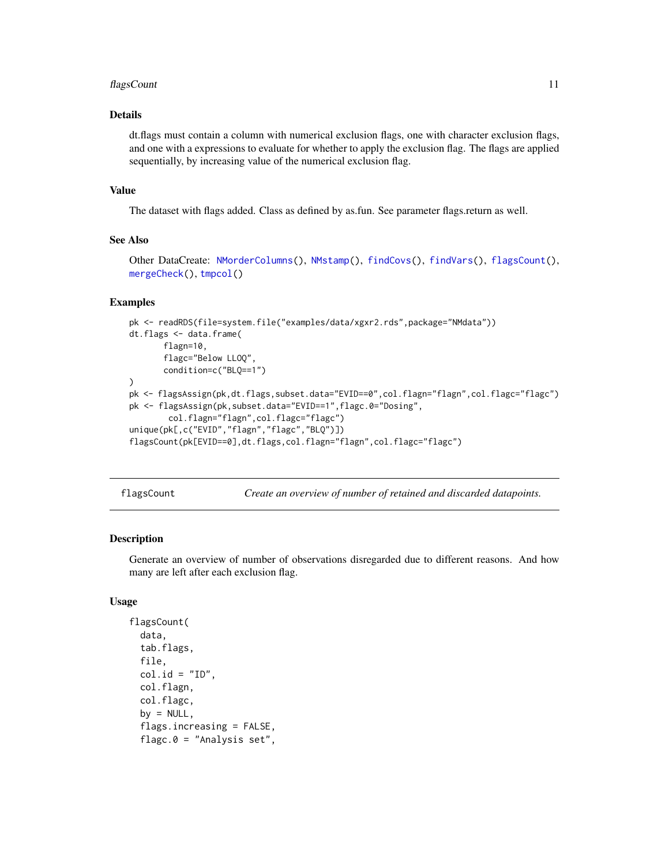#### <span id="page-10-0"></span>flagsCount 11 and 12 and 12 and 13 and 13 and 13 and 13 and 13 and 13 and 14 and 14 and 15 and 16 and 17 and 1

### Details

dt.flags must contain a column with numerical exclusion flags, one with character exclusion flags, and one with a expressions to evaluate for whether to apply the exclusion flag. The flags are applied sequentially, by increasing value of the numerical exclusion flag.

#### Value

The dataset with flags added. Class as defined by as.fun. See parameter flags.return as well.

# See Also

```
Other DataCreate: NMorderColumns(), NMstamp(), findCovs(), findVars(), flagsCount(),
mergeCheck(), tmpcol()
```
#### Examples

```
pk <- readRDS(file=system.file("examples/data/xgxr2.rds",package="NMdata"))
dt.flags <- data.frame(
      flagn=10,
      flagc="Below LLOQ",
      condition=c("BLQ==1")
)
pk <- flagsAssign(pk,dt.flags,subset.data="EVID==0",col.flagn="flagn",col.flagc="flagc")
pk <- flagsAssign(pk,subset.data="EVID==1",flagc.0="Dosing",
       col.flagn="flagn",col.flagc="flagc")
unique(pk[,c("EVID","flagn","flagc","BLQ")])
flagsCount(pk[EVID==0],dt.flags,col.flagn="flagn",col.flagc="flagc")
```
<span id="page-10-1"></span>flagsCount *Create an overview of number of retained and discarded datapoints.*

#### Description

Generate an overview of number of observations disregarded due to different reasons. And how many are left after each exclusion flag.

#### Usage

```
flagsCount(
  data,
  tab.flags,
  file,
  col.id = "ID".col.flagn,
  col.flagc,
  by = NULL,
  flags.increasing = FALSE,
  flagc.0 = "Analysis set",
```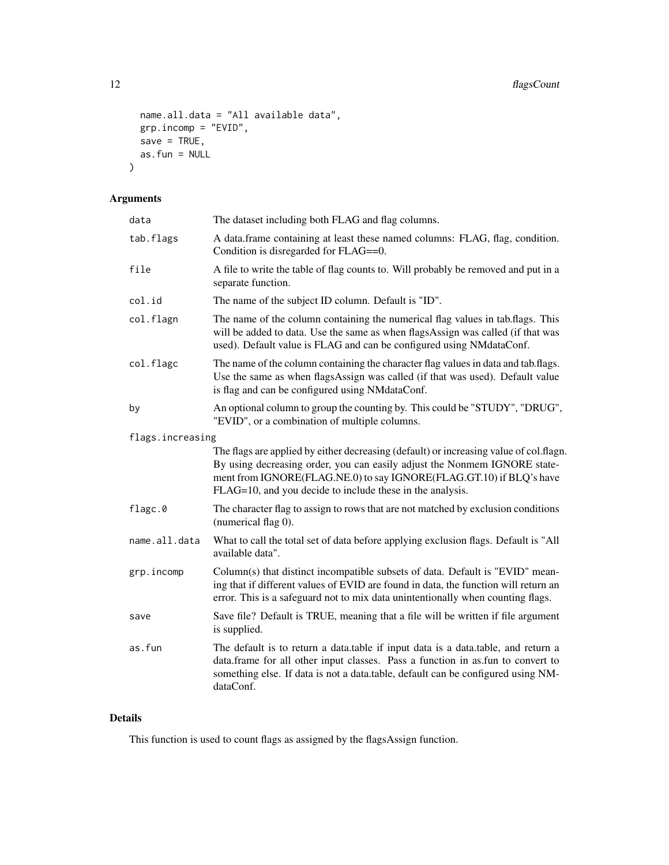```
name.all.data = "All available data",
grp.incomp = "EVID",
save = TRUE,as.fun = NULL
```
# Arguments

)

| data             | The dataset including both FLAG and flag columns.                                                                                                                                                                                                                                                       |
|------------------|---------------------------------------------------------------------------------------------------------------------------------------------------------------------------------------------------------------------------------------------------------------------------------------------------------|
| tab.flags        | A data.frame containing at least these named columns: FLAG, flag, condition.<br>Condition is disregarded for FLAG==0.                                                                                                                                                                                   |
| file             | A file to write the table of flag counts to. Will probably be removed and put in a<br>separate function.                                                                                                                                                                                                |
| col.id           | The name of the subject ID column. Default is "ID".                                                                                                                                                                                                                                                     |
| col.flagn        | The name of the column containing the numerical flag values in tab.flags. This<br>will be added to data. Use the same as when flagsAssign was called (if that was<br>used). Default value is FLAG and can be configured using NMdataConf.                                                               |
| col.flagc        | The name of the column containing the character flag values in data and tab.flags.<br>Use the same as when flagsAssign was called (if that was used). Default value<br>is flag and can be configured using NMdataConf.                                                                                  |
| by               | An optional column to group the counting by. This could be "STUDY", "DRUG",<br>"EVID", or a combination of multiple columns.                                                                                                                                                                            |
| flags.increasing |                                                                                                                                                                                                                                                                                                         |
|                  | The flags are applied by either decreasing (default) or increasing value of col.flagn.<br>By using decreasing order, you can easily adjust the Nonmem IGNORE state-<br>ment from IGNORE(FLAG.NE.0) to say IGNORE(FLAG.GT.10) if BLQ's have<br>FLAG=10, and you decide to include these in the analysis. |
| flagc.0          | The character flag to assign to rows that are not matched by exclusion conditions<br>(numerical flag 0).                                                                                                                                                                                                |
| name.all.data    | What to call the total set of data before applying exclusion flags. Default is "All<br>available data".                                                                                                                                                                                                 |
| grp.incomp       | Column(s) that distinct incompatible subsets of data. Default is "EVID" mean-<br>ing that if different values of EVID are found in data, the function will return an<br>error. This is a safeguard not to mix data unintentionally when counting flags.                                                 |
| save             | Save file? Default is TRUE, meaning that a file will be written if file argument<br>is supplied.                                                                                                                                                                                                        |
| as.fun           | The default is to return a data.table if input data is a data.table, and return a<br>data.frame for all other input classes. Pass a function in as.fun to convert to<br>something else. If data is not a data.table, default can be configured using NM-<br>dataConf.                                   |
|                  |                                                                                                                                                                                                                                                                                                         |

# Details

This function is used to count flags as assigned by the flagsAssign function.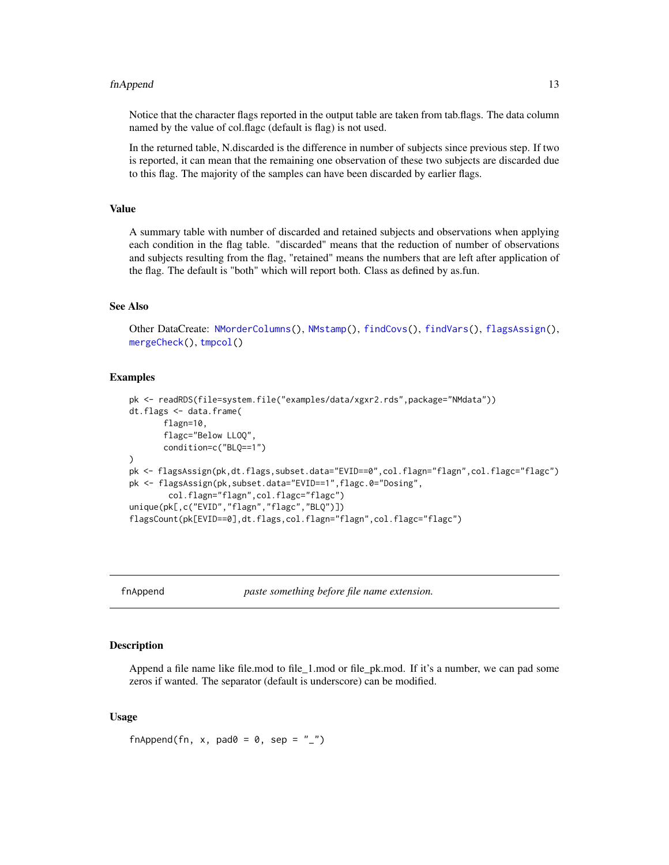#### <span id="page-12-0"></span>fnAppend 13

Notice that the character flags reported in the output table are taken from tab.flags. The data column named by the value of col.flagc (default is flag) is not used.

In the returned table, N.discarded is the difference in number of subjects since previous step. If two is reported, it can mean that the remaining one observation of these two subjects are discarded due to this flag. The majority of the samples can have been discarded by earlier flags.

#### Value

A summary table with number of discarded and retained subjects and observations when applying each condition in the flag table. "discarded" means that the reduction of number of observations and subjects resulting from the flag, "retained" means the numbers that are left after application of the flag. The default is "both" which will report both. Class as defined by as.fun.

#### See Also

```
Other DataCreate: NMorderColumns(), NMstamp(), findCovs(), findVars(), flagsAssign(),
mergeCheck(), tmpcol()
```
#### Examples

```
pk <- readRDS(file=system.file("examples/data/xgxr2.rds",package="NMdata"))
dt.flags <- data.frame(
      flagn=10,
      flagc="Below LLOQ",
      condition=c("BLQ==1")
)
pk <- flagsAssign(pk,dt.flags,subset.data="EVID==0",col.flagn="flagn",col.flagc="flagc")
pk <- flagsAssign(pk,subset.data="EVID==1",flagc.0="Dosing",
       col.flagn="flagn",col.flagc="flagc")
unique(pk[,c("EVID","flagn","flagc","BLQ")])
flagsCount(pk[EVID==0],dt.flags,col.flagn="flagn",col.flagc="flagc")
```
fnAppend *paste something before file name extension.*

#### Description

Append a file name like file.mod to file 1.mod or file pk.mod. If it's a number, we can pad some zeros if wanted. The separator (default is underscore) can be modified.

#### Usage

fnAppend(fn, x, pad0 = 0, sep =  $"$ \_")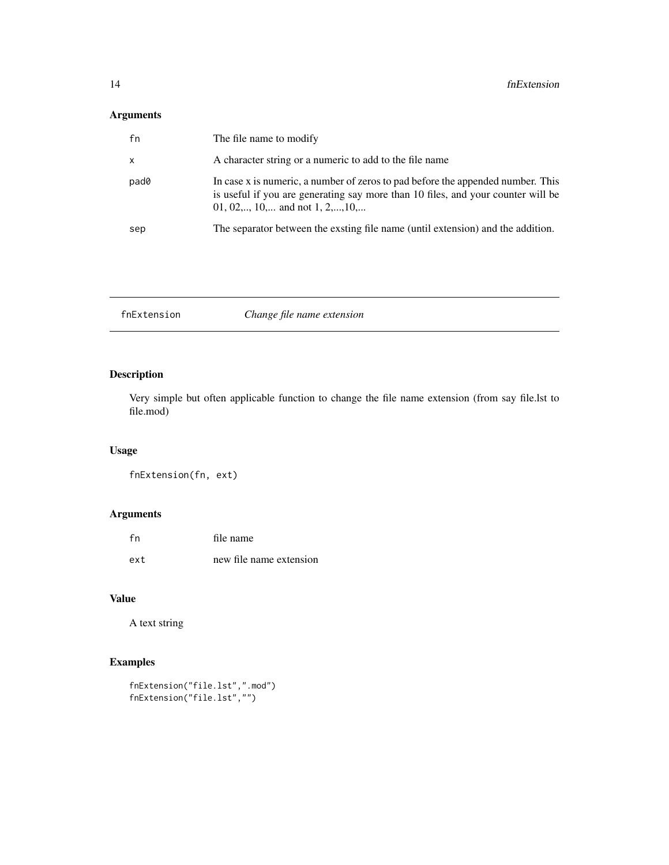# <span id="page-13-0"></span>Arguments

| fn   | The file name to modify                                                                                                                                                                                |
|------|--------------------------------------------------------------------------------------------------------------------------------------------------------------------------------------------------------|
| X    | A character string or a numeric to add to the file name                                                                                                                                                |
| pad0 | In case x is numeric, a number of zeros to pad before the appended number. This<br>is useful if you are generating say more than 10 files, and your counter will be<br>01, 02,, 10, and not 1, 2,, 10, |
| sep  | The separator between the exsting file name (until extension) and the addition.                                                                                                                        |

fnExtension *Change file name extension*

# Description

Very simple but often applicable function to change the file name extension (from say file.lst to file.mod)

# Usage

```
fnExtension(fn, ext)
```
# Arguments

| fn  | file name               |
|-----|-------------------------|
| ext | new file name extension |

# Value

A text string

# Examples

```
fnExtension("file.lst",".mod")
fnExtension("file.lst","")
```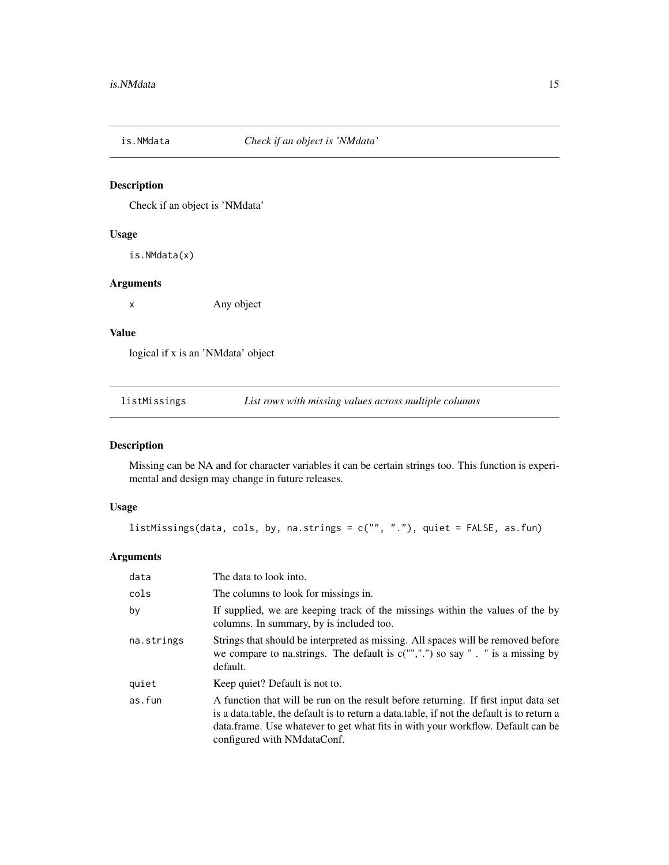<span id="page-14-0"></span>

# Description

Check if an object is 'NMdata'

#### Usage

is.NMdata(x)

#### Arguments

x Any object

# Value

logical if x is an 'NMdata' object

<span id="page-14-1"></span>listMissings *List rows with missing values across multiple columns*

# Description

Missing can be NA and for character variables it can be certain strings too. This function is experimental and design may change in future releases.

# Usage

```
listMissings(data, cols, by, na.strings = c("", "."), quiet = FALSE, as.fun)
```

| data       | The data to look into.                                                                                                                                                                                                                                                                                |
|------------|-------------------------------------------------------------------------------------------------------------------------------------------------------------------------------------------------------------------------------------------------------------------------------------------------------|
| cols       | The columns to look for missings in.                                                                                                                                                                                                                                                                  |
| by         | If supplied, we are keeping track of the missings within the values of the by<br>columns. In summary, by is included too.                                                                                                                                                                             |
| na.strings | Strings that should be interpreted as missing. All spaces will be removed before<br>we compare to na.strings. The default is $c("",".")$ so say ". " is a missing by<br>default.                                                                                                                      |
| quiet      | Keep quiet? Default is not to.                                                                                                                                                                                                                                                                        |
| as.fun     | A function that will be run on the result before returning. If first input data set<br>is a data.table, the default is to return a data.table, if not the default is to return a<br>data. frame. Use whatever to get what fits in with your workflow. Default can be<br>configured with NM data Conf. |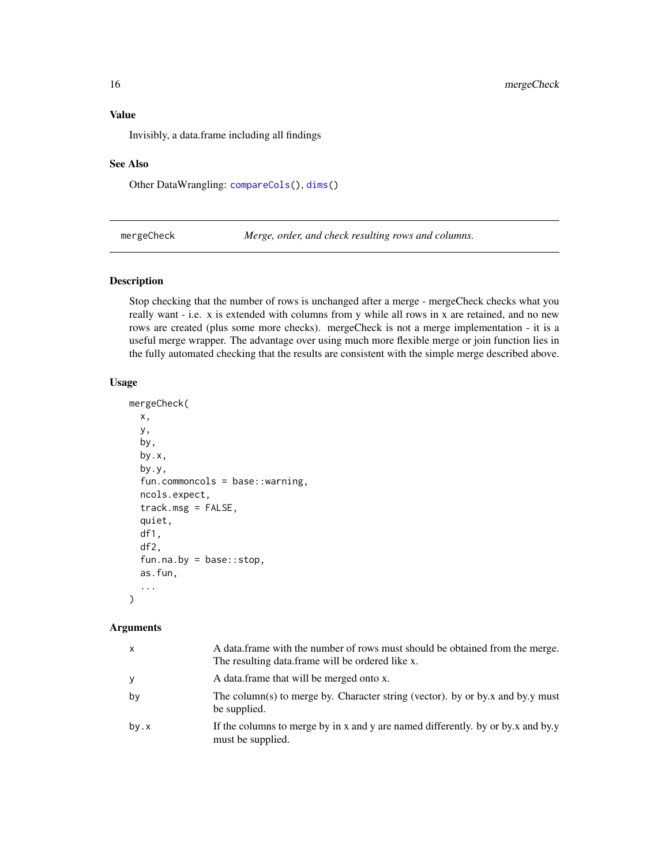<span id="page-15-0"></span>Invisibly, a data.frame including all findings

#### See Also

Other DataWrangling: [compareCols\(](#page-3-1)), [dims\(](#page-4-1))

<span id="page-15-1"></span>mergeCheck *Merge, order, and check resulting rows and columns.*

#### Description

Stop checking that the number of rows is unchanged after a merge - mergeCheck checks what you really want - i.e. x is extended with columns from y while all rows in x are retained, and no new rows are created (plus some more checks). mergeCheck is not a merge implementation - it is a useful merge wrapper. The advantage over using much more flexible merge or join function lies in the fully automated checking that the results are consistent with the simple merge described above.

#### Usage

```
mergeCheck(
 x,
 y,
 by,
 by.x,
 by.y,
  fun.commoncols = base::warning,
 ncols.expect,
  track.msg = FALSE,
  quiet,
  df1,
  df2,
  fun.na.by = base::stop,
  as.fun,
  ...
)
```

| $\mathsf{x}$ | A data frame with the number of rows must should be obtained from the merge.<br>The resulting data frame will be ordered like x. |
|--------------|----------------------------------------------------------------------------------------------------------------------------------|
| y            | A data frame that will be merged onto x.                                                                                         |
| by           | The column(s) to merge by. Character string (vector). by or by x and by y must<br>be supplied.                                   |
| by.x         | If the columns to merge by in x and y are named differently. by or by x and by y<br>must be supplied.                            |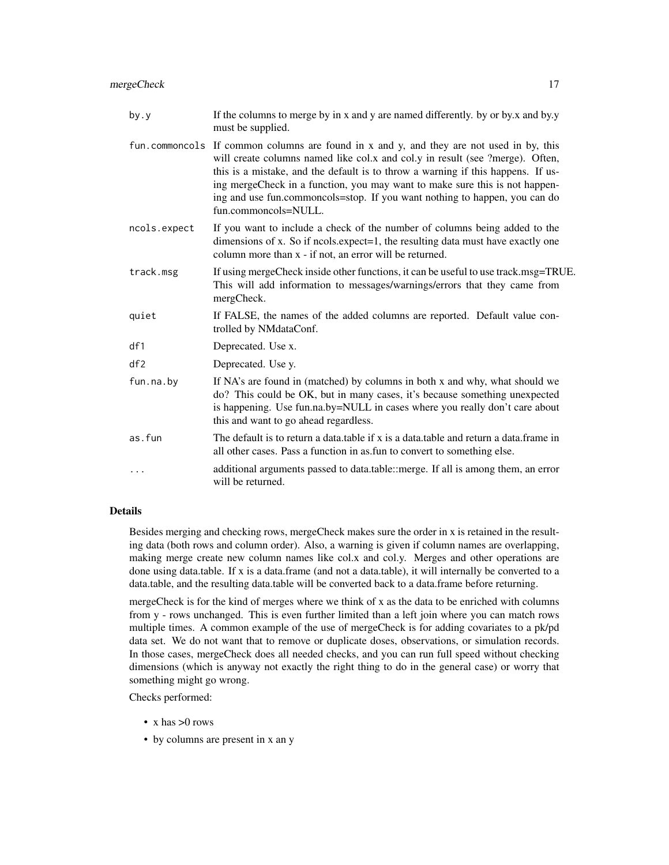mergeCheck 17

| by.y         | If the columns to merge by in x and y are named differently. by or by x and by y<br>must be supplied.                                                                                                                                                                                                                                                                                                                                               |
|--------------|-----------------------------------------------------------------------------------------------------------------------------------------------------------------------------------------------------------------------------------------------------------------------------------------------------------------------------------------------------------------------------------------------------------------------------------------------------|
|              | fun. commoncols If common columns are found in x and y, and they are not used in by, this<br>will create columns named like col.x and col.y in result (see ?merge). Often,<br>this is a mistake, and the default is to throw a warning if this happens. If us-<br>ing mergeCheck in a function, you may want to make sure this is not happen-<br>ing and use fun.commoncols=stop. If you want nothing to happen, you can do<br>fun.commoncols=NULL. |
| ncols.expect | If you want to include a check of the number of columns being added to the<br>dimensions of x. So if ncols.expect=1, the resulting data must have exactly one<br>column more than x - if not, an error will be returned.                                                                                                                                                                                                                            |
| track.msg    | If using mergeCheck inside other functions, it can be useful to use track.msg=TRUE.<br>This will add information to messages/warnings/errors that they came from<br>mergCheck.                                                                                                                                                                                                                                                                      |
| quiet        | If FALSE, the names of the added columns are reported. Default value con-<br>trolled by NMdataConf.                                                                                                                                                                                                                                                                                                                                                 |
| df1          | Deprecated. Use x.                                                                                                                                                                                                                                                                                                                                                                                                                                  |
| df2          | Deprecated. Use y.                                                                                                                                                                                                                                                                                                                                                                                                                                  |
| fun.na.by    | If NA's are found in (matched) by columns in both x and why, what should we<br>do? This could be OK, but in many cases, it's because something unexpected<br>is happening. Use fun.na.by=NULL in cases where you really don't care about<br>this and want to go ahead regardless.                                                                                                                                                                   |
| as.fun       | The default is to return a data, table if x is a data, table and return a data, frame in<br>all other cases. Pass a function in as fun to convert to something else.                                                                                                                                                                                                                                                                                |
| $\cdots$     | additional arguments passed to data.table::merge. If all is among them, an error<br>will be returned.                                                                                                                                                                                                                                                                                                                                               |

# Details

Besides merging and checking rows, mergeCheck makes sure the order in x is retained in the resulting data (both rows and column order). Also, a warning is given if column names are overlapping, making merge create new column names like col.x and col.y. Merges and other operations are done using data.table. If x is a data.frame (and not a data.table), it will internally be converted to a data.table, and the resulting data.table will be converted back to a data.frame before returning.

mergeCheck is for the kind of merges where we think of x as the data to be enriched with columns from y - rows unchanged. This is even further limited than a left join where you can match rows multiple times. A common example of the use of mergeCheck is for adding covariates to a pk/pd data set. We do not want that to remove or duplicate doses, observations, or simulation records. In those cases, mergeCheck does all needed checks, and you can run full speed without checking dimensions (which is anyway not exactly the right thing to do in the general case) or worry that something might go wrong.

Checks performed:

- x has >0 rows
- by columns are present in x an y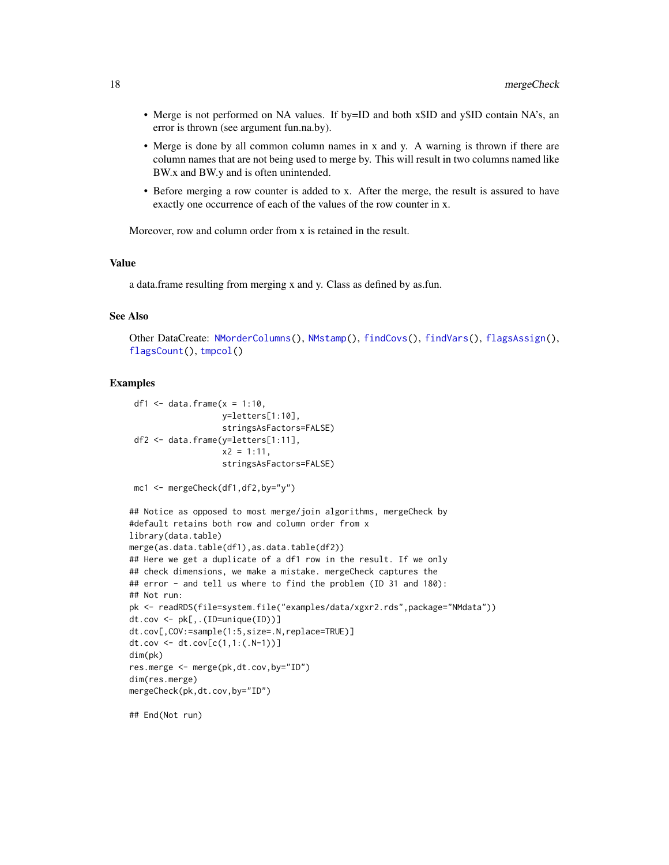- <span id="page-17-0"></span>• Merge is not performed on NA values. If by=ID and both x\$ID and y\$ID contain NA's, an error is thrown (see argument fun.na.by).
- Merge is done by all common column names in x and y. A warning is thrown if there are column names that are not being used to merge by. This will result in two columns named like BW.x and BW.y and is often unintended.
- Before merging a row counter is added to x. After the merge, the result is assured to have exactly one occurrence of each of the values of the row counter in x.

Moreover, row and column order from x is retained in the result.

#### Value

a data.frame resulting from merging x and y. Class as defined by as.fun.

#### See Also

```
Other DataCreate: NMorderColumns(), NMstamp(), findCovs(), findVars(), flagsAssign(),
flagsCount(), tmpcol()
```
#### Examples

```
df1 \leq data.frame(x = 1:10,
                   y=letters[1:10],
                   stringsAsFactors=FALSE)
 df2 <- data.frame(y=letters[1:11],
                   x2 = 1:11,
                   stringsAsFactors=FALSE)
mc1 <- mergeCheck(df1,df2,by="y")
## Notice as opposed to most merge/join algorithms, mergeCheck by
#default retains both row and column order from x
library(data.table)
merge(as.data.table(df1),as.data.table(df2))
## Here we get a duplicate of a df1 row in the result. If we only
## check dimensions, we make a mistake. mergeCheck captures the
## error - and tell us where to find the problem (ID 31 and 180):
## Not run:
pk <- readRDS(file=system.file("examples/data/xgxr2.rds",package="NMdata"))
dt.cov <- pk[,.(ID=unique(ID))]
dt.cov[,COV:=sample(1:5,size=.N,replace=TRUE)]
dt.cov <- dt.cov[c(1,1:(.N-1))]
dim(pk)
res.merge <- merge(pk,dt.cov,by="ID")
dim(res.merge)
mergeCheck(pk,dt.cov,by="ID")
```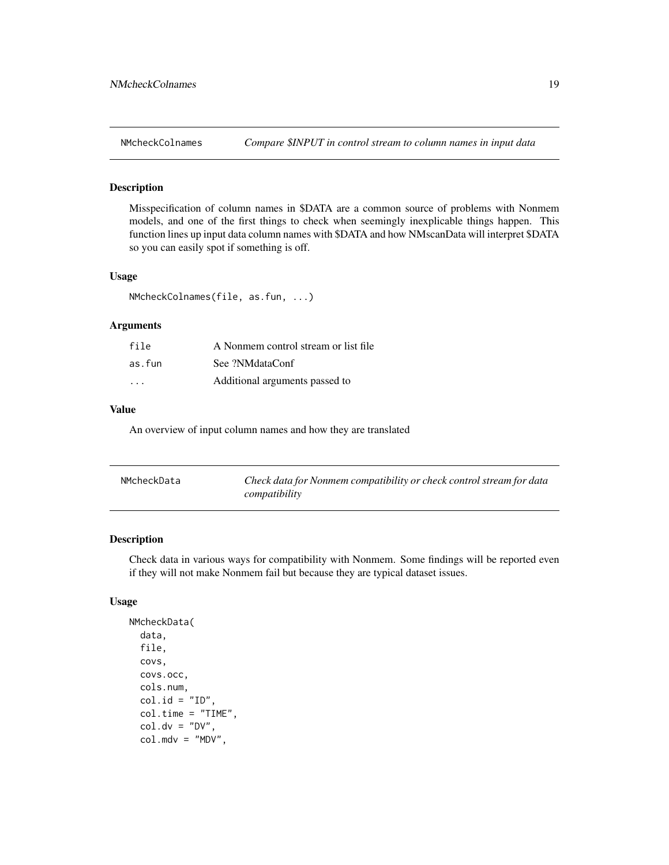<span id="page-18-0"></span>

# Description

Misspecification of column names in \$DATA are a common source of problems with Nonmem models, and one of the first things to check when seemingly inexplicable things happen. This function lines up input data column names with \$DATA and how NMscanData will interpret \$DATA so you can easily spot if something is off.

#### Usage

NMcheckColnames(file, as.fun, ...)

#### Arguments

| file                    | A Nonmem control stream or list file |
|-------------------------|--------------------------------------|
| as.fun                  | See ?NMdataConf                      |
| $\cdot$ $\cdot$ $\cdot$ | Additional arguments passed to       |

#### Value

An overview of input column names and how they are translated

| NMcheckData | Check data for Nonmem compatibility or check control stream for data |
|-------------|----------------------------------------------------------------------|
|             | compatibility                                                        |

# Description

Check data in various ways for compatibility with Nonmem. Some findings will be reported even if they will not make Nonmem fail but because they are typical dataset issues.

#### Usage

```
NMcheckData(
  data,
  file,
 covs,
  covs.occ,
  cols.num,
  col.id = "ID",col.time = "TIME",
  col.dv = "DV",col.mdv = "MDV",
```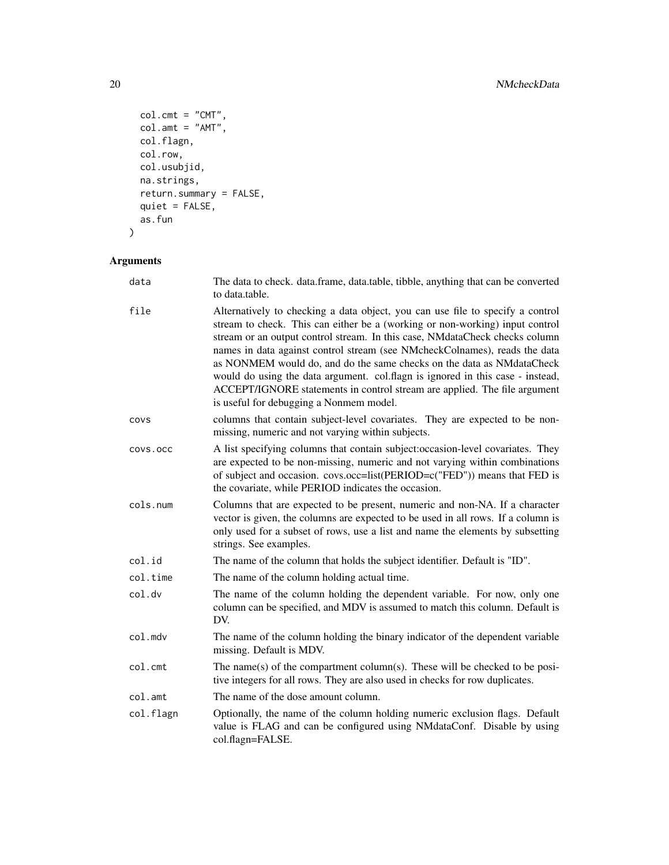```
col.cmt = "CMT",col .amt = "AMT",
  col.flagn,
  col.row,
  col.usubjid,
  na.strings,
  return.summary = FALSE,
  quiet = FALSE,
  as.fun
\sum
```

| data      | The data to check. data.frame, data.table, tibble, anything that can be converted<br>to data.table.                                                                                                                                                                                                                                                                                                                                                                                                                                                                                                            |
|-----------|----------------------------------------------------------------------------------------------------------------------------------------------------------------------------------------------------------------------------------------------------------------------------------------------------------------------------------------------------------------------------------------------------------------------------------------------------------------------------------------------------------------------------------------------------------------------------------------------------------------|
| file      | Alternatively to checking a data object, you can use file to specify a control<br>stream to check. This can either be a (working or non-working) input control<br>stream or an output control stream. In this case, NMdataCheck checks column<br>names in data against control stream (see NMcheckColnames), reads the data<br>as NONMEM would do, and do the same checks on the data as NMdataCheck<br>would do using the data argument. col.flagn is ignored in this case - instead,<br>ACCEPT/IGNORE statements in control stream are applied. The file argument<br>is useful for debugging a Nonmem model. |
| COVS      | columns that contain subject-level covariates. They are expected to be non-<br>missing, numeric and not varying within subjects.                                                                                                                                                                                                                                                                                                                                                                                                                                                                               |
| COVS.OCC  | A list specifying columns that contain subject:occasion-level covariates. They<br>are expected to be non-missing, numeric and not varying within combinations<br>of subject and occasion. covs.occ=list(PERIOD=c("FED")) means that FED is<br>the covariate, while PERIOD indicates the occasion.                                                                                                                                                                                                                                                                                                              |
| cols.num  | Columns that are expected to be present, numeric and non-NA. If a character<br>vector is given, the columns are expected to be used in all rows. If a column is<br>only used for a subset of rows, use a list and name the elements by subsetting<br>strings. See examples.                                                                                                                                                                                                                                                                                                                                    |
| col.id    | The name of the column that holds the subject identifier. Default is "ID".                                                                                                                                                                                                                                                                                                                                                                                                                                                                                                                                     |
| col.time  | The name of the column holding actual time.                                                                                                                                                                                                                                                                                                                                                                                                                                                                                                                                                                    |
| col.dv    | The name of the column holding the dependent variable. For now, only one<br>column can be specified, and MDV is assumed to match this column. Default is<br>DV.                                                                                                                                                                                                                                                                                                                                                                                                                                                |
| col.mdv   | The name of the column holding the binary indicator of the dependent variable<br>missing. Default is MDV.                                                                                                                                                                                                                                                                                                                                                                                                                                                                                                      |
| col.cmt   | The name(s) of the compartment column(s). These will be checked to be posi-<br>tive integers for all rows. They are also used in checks for row duplicates.                                                                                                                                                                                                                                                                                                                                                                                                                                                    |
| col.amt   | The name of the dose amount column.                                                                                                                                                                                                                                                                                                                                                                                                                                                                                                                                                                            |
| col.flagn | Optionally, the name of the column holding numeric exclusion flags. Default<br>value is FLAG and can be configured using NMdataConf. Disable by using<br>col.flagn=FALSE.                                                                                                                                                                                                                                                                                                                                                                                                                                      |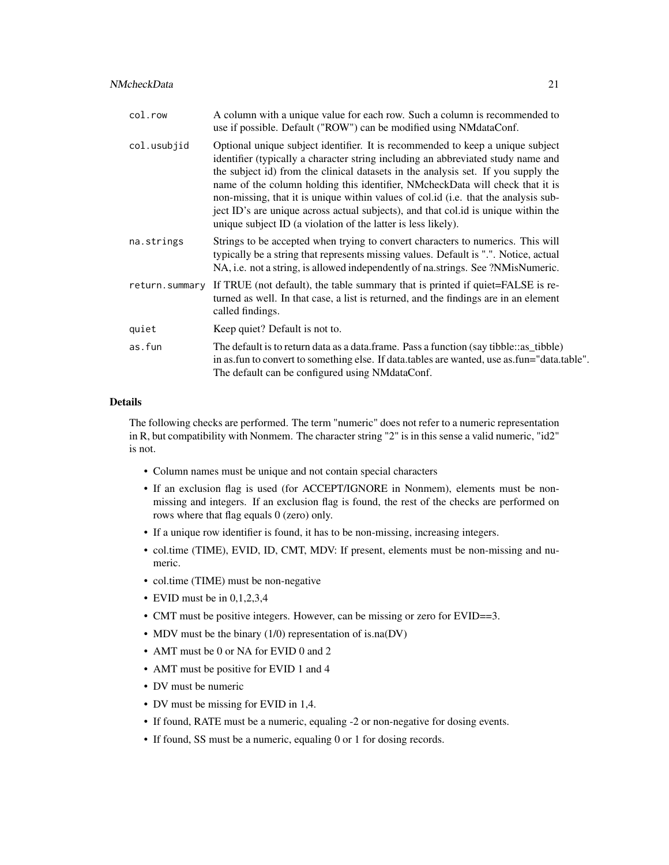#### NMcheckData 21

| col.row        | A column with a unique value for each row. Such a column is recommended to<br>use if possible. Default ("ROW") can be modified using NM data Conf.                                                                                                                                                                                                                                                                                                                                                                                                                                     |
|----------------|----------------------------------------------------------------------------------------------------------------------------------------------------------------------------------------------------------------------------------------------------------------------------------------------------------------------------------------------------------------------------------------------------------------------------------------------------------------------------------------------------------------------------------------------------------------------------------------|
| col.usubjid    | Optional unique subject identifier. It is recommended to keep a unique subject<br>identifier (typically a character string including an abbreviated study name and<br>the subject id) from the clinical datasets in the analysis set. If you supply the<br>name of the column holding this identifier, NMcheckData will check that it is<br>non-missing, that it is unique within values of col.id (i.e. that the analysis sub-<br>ject ID's are unique across actual subjects), and that col.id is unique within the<br>unique subject ID (a violation of the latter is less likely). |
| na.strings     | Strings to be accepted when trying to convert characters to numerics. This will<br>typically be a string that represents missing values. Default is ".". Notice, actual<br>NA, i.e. not a string, is allowed independently of na.strings. See ?NMisNumeric.                                                                                                                                                                                                                                                                                                                            |
| return.summary | If TRUE (not default), the table summary that is printed if quiet=FALSE is re-<br>turned as well. In that case, a list is returned, and the findings are in an element<br>called findings.                                                                                                                                                                                                                                                                                                                                                                                             |
| quiet          | Keep quiet? Default is not to.                                                                                                                                                                                                                                                                                                                                                                                                                                                                                                                                                         |
| as.fun         | The default is to return data as a data frame. Pass a function (say tibble: as _tibble)<br>in as fun to convert to something else. If data tables are wanted, use as fun="data table".<br>The default can be configured using NMdataConf.                                                                                                                                                                                                                                                                                                                                              |

# Details

The following checks are performed. The term "numeric" does not refer to a numeric representation in R, but compatibility with Nonmem. The character string "2" is in this sense a valid numeric, "id2" is not.

- Column names must be unique and not contain special characters
- If an exclusion flag is used (for ACCEPT/IGNORE in Nonmem), elements must be nonmissing and integers. If an exclusion flag is found, the rest of the checks are performed on rows where that flag equals 0 (zero) only.
- If a unique row identifier is found, it has to be non-missing, increasing integers.
- col.time (TIME), EVID, ID, CMT, MDV: If present, elements must be non-missing and numeric.
- col.time (TIME) must be non-negative
- EVID must be in  $0,1,2,3,4$
- CMT must be positive integers. However, can be missing or zero for EVID==3.
- MDV must be the binary (1/0) representation of is.na(DV)
- AMT must be 0 or NA for EVID 0 and 2
- AMT must be positive for EVID 1 and 4
- DV must be numeric
- DV must be missing for EVID in 1,4.
- If found, RATE must be a numeric, equaling -2 or non-negative for dosing events.
- If found, SS must be a numeric, equaling 0 or 1 for dosing records.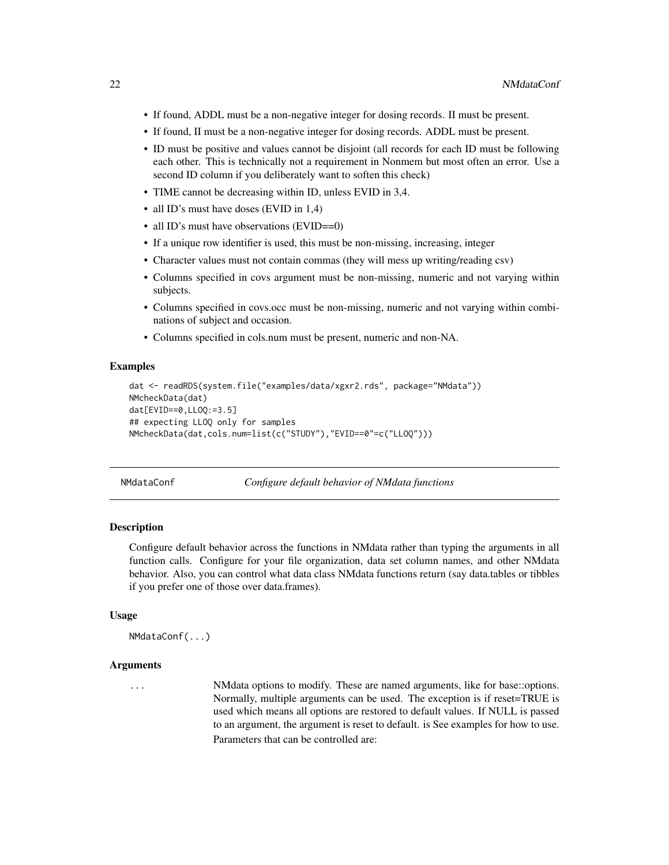- <span id="page-21-0"></span>• If found, ADDL must be a non-negative integer for dosing records. II must be present.
- If found, II must be a non-negative integer for dosing records. ADDL must be present.
- ID must be positive and values cannot be disjoint (all records for each ID must be following each other. This is technically not a requirement in Nonmem but most often an error. Use a second ID column if you deliberately want to soften this check)
- TIME cannot be decreasing within ID, unless EVID in 3,4.
- all ID's must have doses (EVID in 1,4)
- all ID's must have observations (EVID==0)
- If a unique row identifier is used, this must be non-missing, increasing, integer
- Character values must not contain commas (they will mess up writing/reading csv)
- Columns specified in covs argument must be non-missing, numeric and not varying within subjects.
- Columns specified in covs.occ must be non-missing, numeric and not varying within combinations of subject and occasion.
- Columns specified in cols.num must be present, numeric and non-NA.

#### Examples

```
dat <- readRDS(system.file("examples/data/xgxr2.rds", package="NMdata"))
NMcheckData(dat)
dat[EVID==0,LLOQ:=3.5]
## expecting LLOQ only for samples
NMcheckData(dat,cols.num=list(c("STUDY"),"EVID==0"=c("LLOQ")))
```
NMdataConf *Configure default behavior of NMdata functions*

#### Description

Configure default behavior across the functions in NMdata rather than typing the arguments in all function calls. Configure for your file organization, data set column names, and other NMdata behavior. Also, you can control what data class NMdata functions return (say data.tables or tibbles if you prefer one of those over data.frames).

#### Usage

```
NMdataConf(...)
```
#### **Arguments**

... NMdata options to modify. These are named arguments, like for base::options. Normally, multiple arguments can be used. The exception is if reset=TRUE is used which means all options are restored to default values. If NULL is passed to an argument, the argument is reset to default. is See examples for how to use. Parameters that can be controlled are: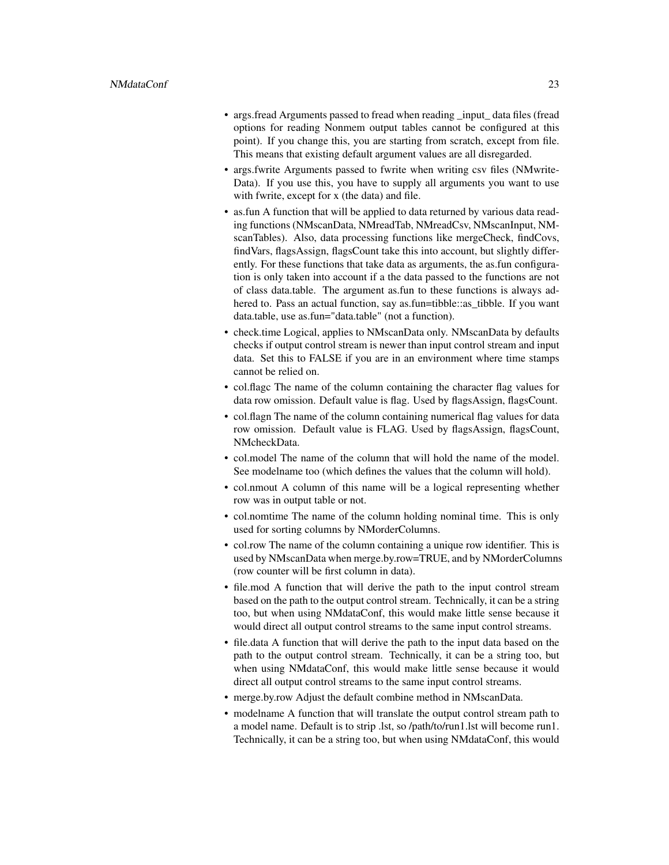- args.fread Arguments passed to fread when reading \_input\_ data files (fread options for reading Nonmem output tables cannot be configured at this point). If you change this, you are starting from scratch, except from file. This means that existing default argument values are all disregarded.
- args.fwrite Arguments passed to fwrite when writing csv files (NMwrite-Data). If you use this, you have to supply all arguments you want to use with fwrite, except for x (the data) and file.
- as.fun A function that will be applied to data returned by various data reading functions (NMscanData, NMreadTab, NMreadCsv, NMscanInput, NMscanTables). Also, data processing functions like mergeCheck, findCovs, findVars, flagsAssign, flagsCount take this into account, but slightly differently. For these functions that take data as arguments, the as.fun configuration is only taken into account if a the data passed to the functions are not of class data.table. The argument as.fun to these functions is always adhered to. Pass an actual function, say as.fun=tibble::as\_tibble. If you want data.table, use as.fun="data.table" (not a function).
- check.time Logical, applies to NMscanData only. NMscanData by defaults checks if output control stream is newer than input control stream and input data. Set this to FALSE if you are in an environment where time stamps cannot be relied on.
- col.flagc The name of the column containing the character flag values for data row omission. Default value is flag. Used by flagsAssign, flagsCount.
- col.flagn The name of the column containing numerical flag values for data row omission. Default value is FLAG. Used by flagsAssign, flagsCount, NMcheckData.
- col.model The name of the column that will hold the name of the model. See modelname too (which defines the values that the column will hold).
- col.nmout A column of this name will be a logical representing whether row was in output table or not.
- col.nomtime The name of the column holding nominal time. This is only used for sorting columns by NMorderColumns.
- col.row The name of the column containing a unique row identifier. This is used by NMscanData when merge.by.row=TRUE, and by NMorderColumns (row counter will be first column in data).
- file.mod A function that will derive the path to the input control stream based on the path to the output control stream. Technically, it can be a string too, but when using NMdataConf, this would make little sense because it would direct all output control streams to the same input control streams.
- file.data A function that will derive the path to the input data based on the path to the output control stream. Technically, it can be a string too, but when using NMdataConf, this would make little sense because it would direct all output control streams to the same input control streams.
- merge.by.row Adjust the default combine method in NMscanData.
- modelname A function that will translate the output control stream path to a model name. Default is to strip .lst, so /path/to/run1.lst will become run1. Technically, it can be a string too, but when using NMdataConf, this would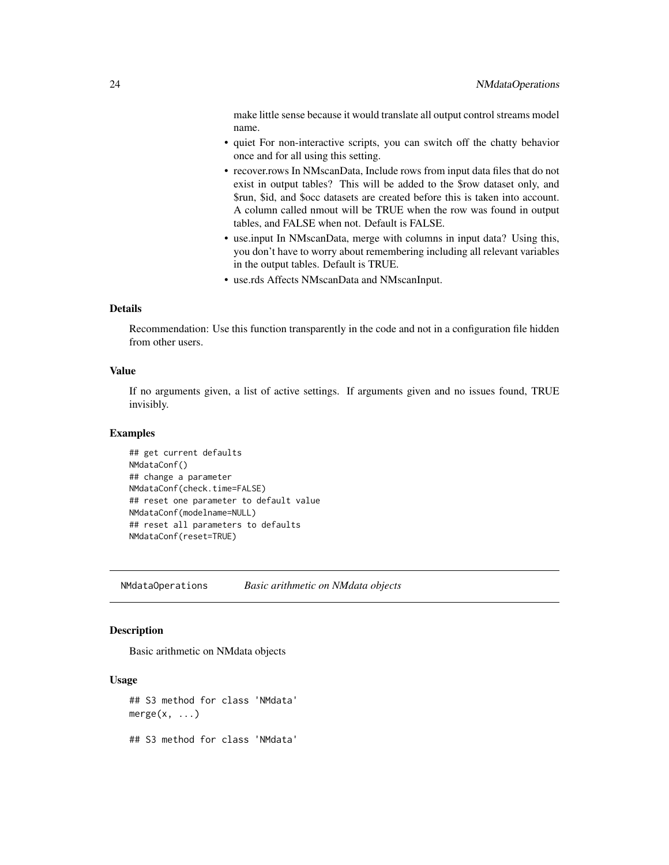<span id="page-23-0"></span>make little sense because it would translate all output control streams model name.

- quiet For non-interactive scripts, you can switch off the chatty behavior once and for all using this setting.
- recover.rows In NMscanData, Include rows from input data files that do not exist in output tables? This will be added to the \$row dataset only, and \$run, \$id, and \$occ datasets are created before this is taken into account. A column called nmout will be TRUE when the row was found in output tables, and FALSE when not. Default is FALSE.
- use.input In NMscanData, merge with columns in input data? Using this, you don't have to worry about remembering including all relevant variables in the output tables. Default is TRUE.
- use.rds Affects NMscanData and NMscanInput.

#### Details

Recommendation: Use this function transparently in the code and not in a configuration file hidden from other users.

#### Value

If no arguments given, a list of active settings. If arguments given and no issues found, TRUE invisibly.

# Examples

```
## get current defaults
NMdataConf()
## change a parameter
NMdataConf(check.time=FALSE)
## reset one parameter to default value
NMdataConf(modelname=NULL)
## reset all parameters to defaults
NMdataConf(reset=TRUE)
```
NMdataOperations *Basic arithmetic on NMdata objects*

# Description

Basic arithmetic on NMdata objects

#### Usage

## S3 method for class 'NMdata'  $merge(x, \ldots)$ ## S3 method for class 'NMdata'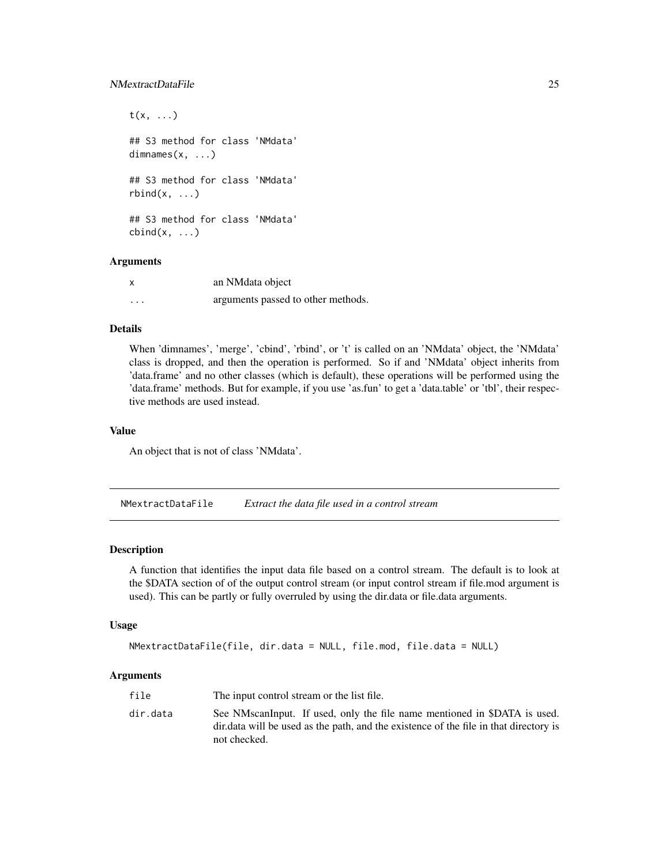#### <span id="page-24-0"></span>NMextractDataFile 25

```
t(x, \ldots)## S3 method for class 'NMdata'
dimnames(x, ...)
## S3 method for class 'NMdata'
rbind(x, \ldots)## S3 method for class 'NMdata'
cbind(x, \ldots)
```
# Arguments

| X        | an NM data object                  |
|----------|------------------------------------|
| $\cdots$ | arguments passed to other methods. |

#### Details

When 'dimnames', 'merge', 'cbind', 'rbind', or 't' is called on an 'NMdata' object, the 'NMdata' class is dropped, and then the operation is performed. So if and 'NMdata' object inherits from 'data.frame' and no other classes (which is default), these operations will be performed using the 'data.frame' methods. But for example, if you use 'as.fun' to get a 'data.table' or 'tbl', their respective methods are used instead.

#### Value

An object that is not of class 'NMdata'.

NMextractDataFile *Extract the data file used in a control stream*

#### Description

A function that identifies the input data file based on a control stream. The default is to look at the \$DATA section of of the output control stream (or input control stream if file.mod argument is used). This can be partly or fully overruled by using the dir.data or file.data arguments.

#### Usage

```
NMextractDataFile(file, dir.data = NULL, file.mod, file.data = NULL)
```

| file     | The input control stream or the list file.                                                                                                                                          |
|----------|-------------------------------------------------------------------------------------------------------------------------------------------------------------------------------------|
| dir.data | See NMscanInput. If used, only the file name mentioned in \$DATA is used.<br>dir. data will be used as the path, and the existence of the file in that directory is<br>not checked. |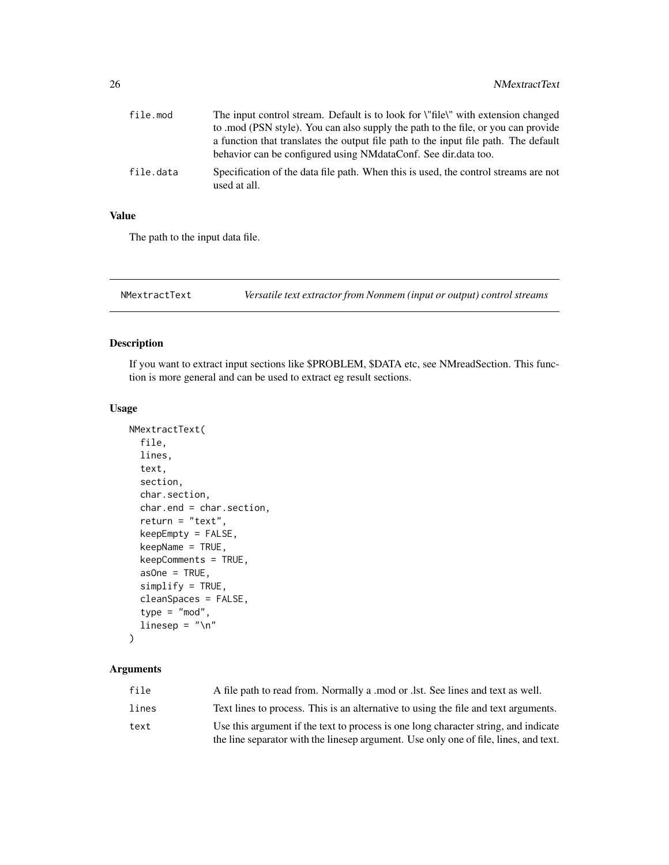<span id="page-25-0"></span>

| file.mod  | The input control stream. Default is to look for \"file\" with extension changed                    |
|-----------|-----------------------------------------------------------------------------------------------------|
|           | to mod (PSN style). You can also supply the path to the file, or you can provide                    |
|           | a function that translates the output file path to the input file path. The default                 |
|           | behavior can be configured using NM dataConf. See dir. data too.                                    |
| file.data | Specification of the data file path. When this is used, the control streams are not<br>used at all. |

# Value

The path to the input data file.

<span id="page-25-1"></span>NMextractText *Versatile text extractor from Nonmem (input or output) control streams*

# Description

If you want to extract input sections like \$PROBLEM, \$DATA etc, see NMreadSection. This function is more general and can be used to extract eg result sections.

#### Usage

```
NMextractText(
  file,
  lines,
  text,
  section,
  char.section,
  char.end = char.section,
  return = "text",keepEmpty = FALSE,
  keepName = TRUE,
  keepComments = TRUE,
  asOne = TRUE,simplify = TRUE,
  cleanSpaces = FALSE,
  type = "mod",
  linesep = " \n\cdot \n\cdot\mathcal{L}
```

| file  | A file path to read from. Normally a mod or .1st. See lines and text as well.        |
|-------|--------------------------------------------------------------------------------------|
| lines | Text lines to process. This is an alternative to using the file and text arguments.  |
| text  | Use this argument if the text to process is one long character string, and indicate  |
|       | the line separator with the linesep argument. Use only one of file, lines, and text. |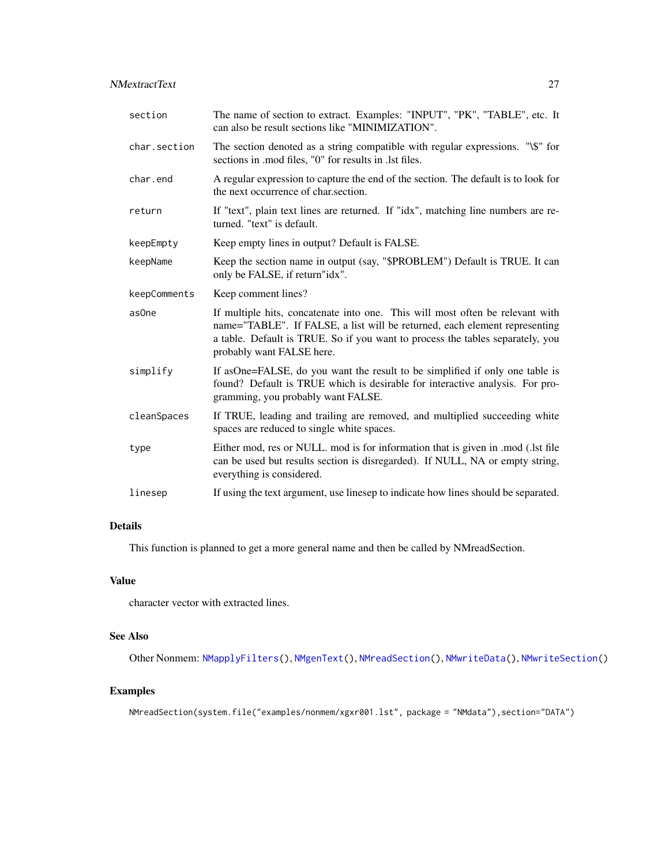# <span id="page-26-0"></span>NMextractText 27

| section      | The name of section to extract. Examples: "INPUT", "PK", "TABLE", etc. It<br>can also be result sections like "MINIMIZATION".                                                                                                                                              |
|--------------|----------------------------------------------------------------------------------------------------------------------------------------------------------------------------------------------------------------------------------------------------------------------------|
| char.section | The section denoted as a string compatible with regular expressions. "\\$" for<br>sections in .mod files, "0" for results in .lst files.                                                                                                                                   |
| char.end     | A regular expression to capture the end of the section. The default is to look for<br>the next occurrence of char.section.                                                                                                                                                 |
| return       | If "text", plain text lines are returned. If "idx", matching line numbers are re-<br>turned. "text" is default.                                                                                                                                                            |
| keepEmpty    | Keep empty lines in output? Default is FALSE.                                                                                                                                                                                                                              |
| keepName     | Keep the section name in output (say, "\$PROBLEM") Default is TRUE. It can<br>only be FALSE, if return"idx".                                                                                                                                                               |
| keepComments | Keep comment lines?                                                                                                                                                                                                                                                        |
| as0ne        | If multiple hits, concatenate into one. This will most often be relevant with<br>name="TABLE". If FALSE, a list will be returned, each element representing<br>a table. Default is TRUE. So if you want to process the tables separately, you<br>probably want FALSE here. |
| simplify     | If asOne=FALSE, do you want the result to be simplified if only one table is<br>found? Default is TRUE which is desirable for interactive analysis. For pro-<br>gramming, you probably want FALSE.                                                                         |
| cleanSpaces  | If TRUE, leading and trailing are removed, and multiplied succeeding white<br>spaces are reduced to single white spaces.                                                                                                                                                   |
| type         | Either mod, res or NULL. mod is for information that is given in .mod (.lst file<br>can be used but results section is disregarded). If NULL, NA or empty string,<br>everything is considered.                                                                             |
|              |                                                                                                                                                                                                                                                                            |

# Details

This function is planned to get a more general name and then be called by NMreadSection.

# Value

character vector with extracted lines.

# See Also

Other Nonmem: [NMapplyFilters\(](#page-0-0)), [NMgenText\(](#page-27-1)), [NMreadSection\(](#page-33-1)), [NMwriteData\(](#page-44-1)), [NMwriteSection\(](#page-46-1))

# Examples

NMreadSection(system.file("examples/nonmem/xgxr001.lst", package = "NMdata"),section="DATA")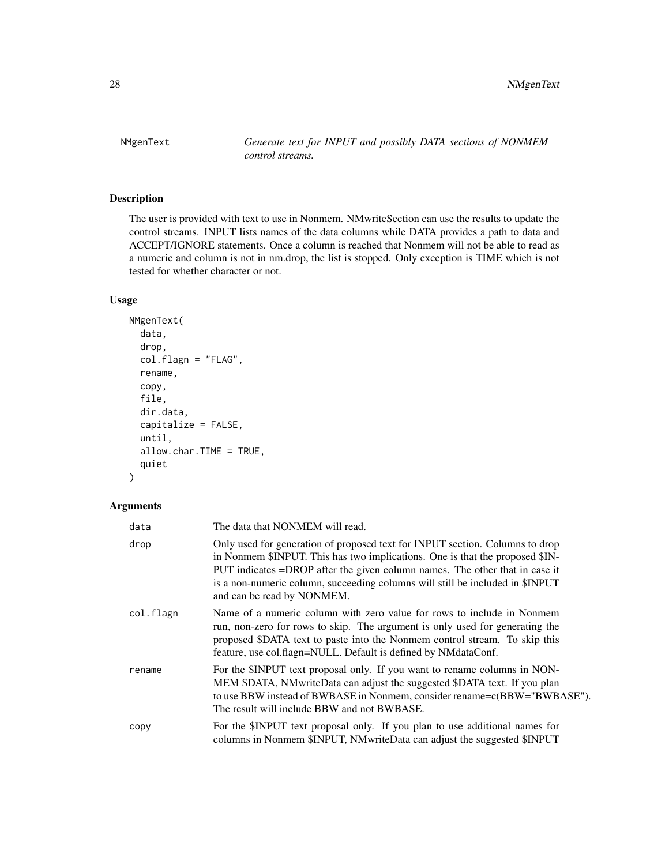<span id="page-27-1"></span><span id="page-27-0"></span>NMgenText *Generate text for INPUT and possibly DATA sections of NONMEM control streams.*

# Description

The user is provided with text to use in Nonmem. NMwriteSection can use the results to update the control streams. INPUT lists names of the data columns while DATA provides a path to data and ACCEPT/IGNORE statements. Once a column is reached that Nonmem will not be able to read as a numeric and column is not in nm.drop, the list is stopped. Only exception is TIME which is not tested for whether character or not.

# Usage

```
NMgenText(
  data,
  drop,
  col.flagn = "FLAG",
  rename,
  copy,
  file,
  dir.data,
  capitalize = FALSE,
  until,
  allow.char.TIME = TRUE,
  quiet
```
#### Arguments

 $\mathcal{L}$ 

| data      | The data that NONMEM will read.                                                                                                                                                                                                                                                                                                                            |
|-----------|------------------------------------------------------------------------------------------------------------------------------------------------------------------------------------------------------------------------------------------------------------------------------------------------------------------------------------------------------------|
| drop      | Only used for generation of proposed text for INPUT section. Columns to drop<br>in Nonmem \$INPUT. This has two implications. One is that the proposed \$IN-<br>PUT indicates =DROP after the given column names. The other that in case it<br>is a non-numeric column, succeeding columns will still be included in \$INPUT<br>and can be read by NONMEM. |
| col.flagn | Name of a numeric column with zero value for rows to include in Nonmem<br>run, non-zero for rows to skip. The argument is only used for generating the<br>proposed \$DATA text to paste into the Nonmem control stream. To skip this<br>feature, use col.flagn=NULL. Default is defined by NMdataConf.                                                     |
| rename    | For the \$INPUT text proposal only. If you want to rename columns in NON-<br>MEM \$DATA, NMwriteData can adjust the suggested \$DATA text. If you plan<br>to use BBW instead of BWBASE in Nonmem, consider rename=c(BBW="BWBASE").<br>The result will include BBW and not BWBASE.                                                                          |
| copy      | For the \$INPUT text proposal only. If you plan to use additional names for<br>columns in Nonmem \$INPUT, NMwriteData can adjust the suggested \$INPUT                                                                                                                                                                                                     |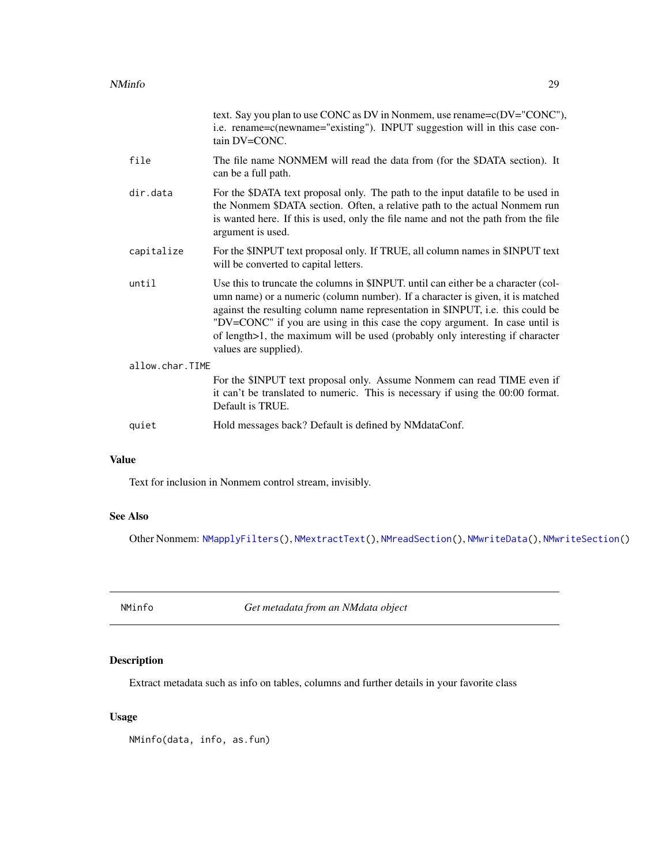<span id="page-28-0"></span>

|                 | text. Say you plan to use CONC as DV in Nonmem, use rename= $c(DV=^{\circ}CONC^{\prime\prime})$ ,<br>i.e. rename=c(newname="existing"). INPUT suggestion will in this case con-<br>tain DV=CONC.                                                                                                                                                                                                                                                 |  |
|-----------------|--------------------------------------------------------------------------------------------------------------------------------------------------------------------------------------------------------------------------------------------------------------------------------------------------------------------------------------------------------------------------------------------------------------------------------------------------|--|
| file            | The file name NONMEM will read the data from (for the \$DATA section). It<br>can be a full path.                                                                                                                                                                                                                                                                                                                                                 |  |
| dir.data        | For the \$DATA text proposal only. The path to the input datafile to be used in<br>the Nonmem \$DATA section. Often, a relative path to the actual Nonmem run<br>is wanted here. If this is used, only the file name and not the path from the file<br>argument is used.                                                                                                                                                                         |  |
| capitalize      | For the \$INPUT text proposal only. If TRUE, all column names in \$INPUT text<br>will be converted to capital letters.                                                                                                                                                                                                                                                                                                                           |  |
| until           | Use this to truncate the columns in \$INPUT, until can either be a character (col-<br>umn name) or a numeric (column number). If a character is given, it is matched<br>against the resulting column name representation in \$INPUT, i.e. this could be<br>"DV=CONC" if you are using in this case the copy argument. In case until is<br>of length>1, the maximum will be used (probably only interesting if character<br>values are supplied). |  |
| allow.char.TIME |                                                                                                                                                                                                                                                                                                                                                                                                                                                  |  |
|                 | For the \$INPUT text proposal only. Assume Nonmem can read TIME even if<br>it can't be translated to numeric. This is necessary if using the 00:00 format.<br>Default is TRUE.                                                                                                                                                                                                                                                                   |  |
| quiet           | Hold messages back? Default is defined by NMdataConf.                                                                                                                                                                                                                                                                                                                                                                                            |  |

# Value

Text for inclusion in Nonmem control stream, invisibly.

# See Also

Other Nonmem: [NMapplyFilters\(](#page-0-0)), [NMextractText\(](#page-25-1)), [NMreadSection\(](#page-33-1)), [NMwriteData\(](#page-44-1)), [NMwriteSection\(](#page-46-1))

NMinfo *Get metadata from an NMdata object*

# Description

Extract metadata such as info on tables, columns and further details in your favorite class

# Usage

NMinfo(data, info, as.fun)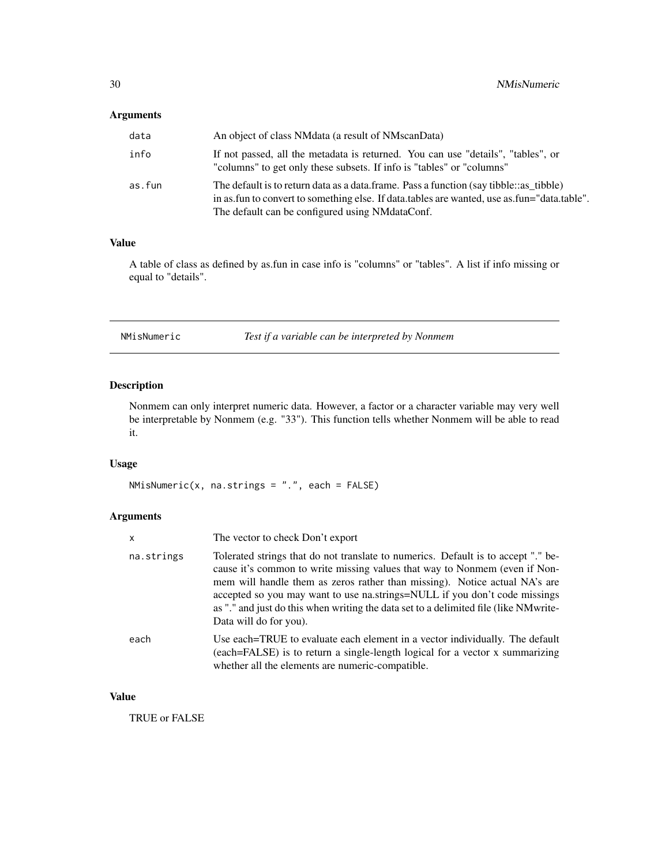# <span id="page-29-0"></span>Arguments

| data   | An object of class NM data (a result of NM scan Data)                                                                                                                                                                                    |
|--------|------------------------------------------------------------------------------------------------------------------------------------------------------------------------------------------------------------------------------------------|
| info   | If not passed, all the metadata is returned. You can use "details", "tables", or<br>"columns" to get only these subsets. If info is "tables" or "columns"                                                                                |
| as.fun | The default is to return data as a data.frame. Pass a function (say tibble: as tibble)<br>in as fun to convert to something else. If data tables are wanted, use as fun="data table".<br>The default can be configured using NMdataConf. |

# Value

A table of class as defined by as.fun in case info is "columns" or "tables". A list if info missing or equal to "details".

NMisNumeric *Test if a variable can be interpreted by Nonmem*

# Description

Nonmem can only interpret numeric data. However, a factor or a character variable may very well be interpretable by Nonmem (e.g. "33"). This function tells whether Nonmem will be able to read it.

# Usage

NMisNumeric(x, na.strings = ".", each = FALSE)

# Arguments

| x          | The vector to check Don't export                                                                                                                                                                                                                                                                                                                                                                                                               |
|------------|------------------------------------------------------------------------------------------------------------------------------------------------------------------------------------------------------------------------------------------------------------------------------------------------------------------------------------------------------------------------------------------------------------------------------------------------|
| na.strings | Tolerated strings that do not translate to numerics. Default is to accept "." be-<br>cause it's common to write missing values that way to Nonmem (even if Non-<br>mem will handle them as zeros rather than missing). Notice actual NA's are<br>accepted so you may want to use na.strings=NULL if you don't code missings<br>as "." and just do this when writing the data set to a delimited file (like NM write-<br>Data will do for you). |
| each       | Use each=TRUE to evaluate each element in a vector individually. The default<br>(each=FALSE) is to return a single-length logical for a vector x summarizing<br>whether all the elements are numeric-compatible.                                                                                                                                                                                                                               |

# Value

TRUE or FALSE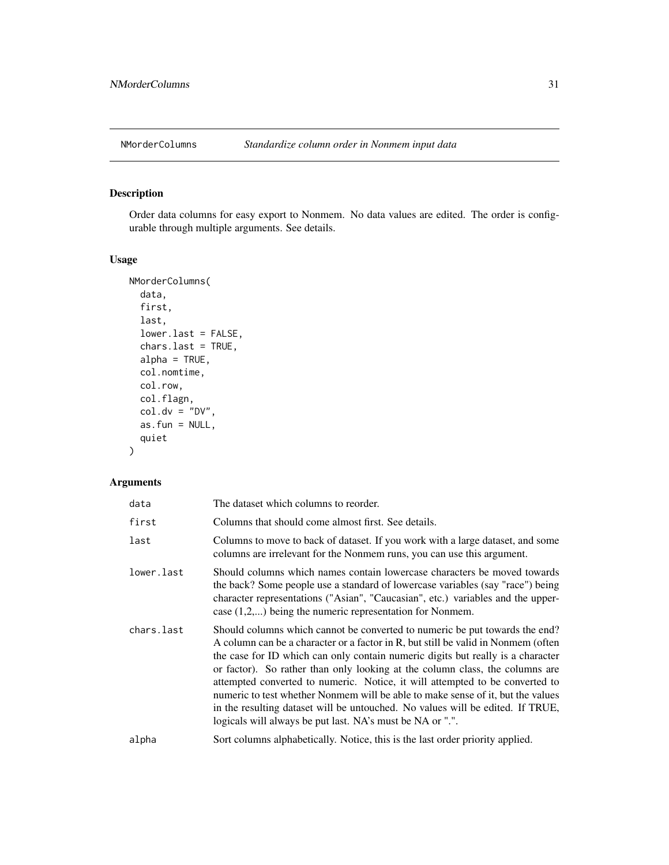<span id="page-30-1"></span><span id="page-30-0"></span>

# Description

Order data columns for easy export to Nonmem. No data values are edited. The order is configurable through multiple arguments. See details.

# Usage

```
NMorderColumns(
  data,
  first,
 last,
  lower.last = FALSE,
  chars.last = TRUE,
  alpha = TRUE,col.nomtime,
  col.row,
  col.flagn,
  col.dv = "DV",as.fun = NULL,
  quiet
)
```

| data       | The dataset which columns to reorder.                                                                                                                                                                                                                                                                                                                                                                                                                                                                                                                                                                                                                 |
|------------|-------------------------------------------------------------------------------------------------------------------------------------------------------------------------------------------------------------------------------------------------------------------------------------------------------------------------------------------------------------------------------------------------------------------------------------------------------------------------------------------------------------------------------------------------------------------------------------------------------------------------------------------------------|
| first      | Columns that should come almost first. See details.                                                                                                                                                                                                                                                                                                                                                                                                                                                                                                                                                                                                   |
| last       | Columns to move to back of dataset. If you work with a large dataset, and some<br>columns are irrelevant for the Nonmem runs, you can use this argument.                                                                                                                                                                                                                                                                                                                                                                                                                                                                                              |
| lower.last | Should columns which names contain lowercase characters be moved towards<br>the back? Some people use a standard of lowercase variables (say "race") being<br>character representations ("Asian", "Caucasian", etc.) variables and the upper-<br>case $(1,2,)$ being the numeric representation for Nonmem.                                                                                                                                                                                                                                                                                                                                           |
| chars.last | Should columns which cannot be converted to numeric be put towards the end?<br>A column can be a character or a factor in R, but still be valid in Nonmem (often<br>the case for ID which can only contain numeric digits but really is a character<br>or factor). So rather than only looking at the column class, the columns are<br>attempted converted to numeric. Notice, it will attempted to be converted to<br>numeric to test whether Nonmem will be able to make sense of it, but the values<br>in the resulting dataset will be untouched. No values will be edited. If TRUE,<br>logicals will always be put last. NA's must be NA or ".". |
| alpha      | Sort columns alphabetically. Notice, this is the last order priority applied.                                                                                                                                                                                                                                                                                                                                                                                                                                                                                                                                                                         |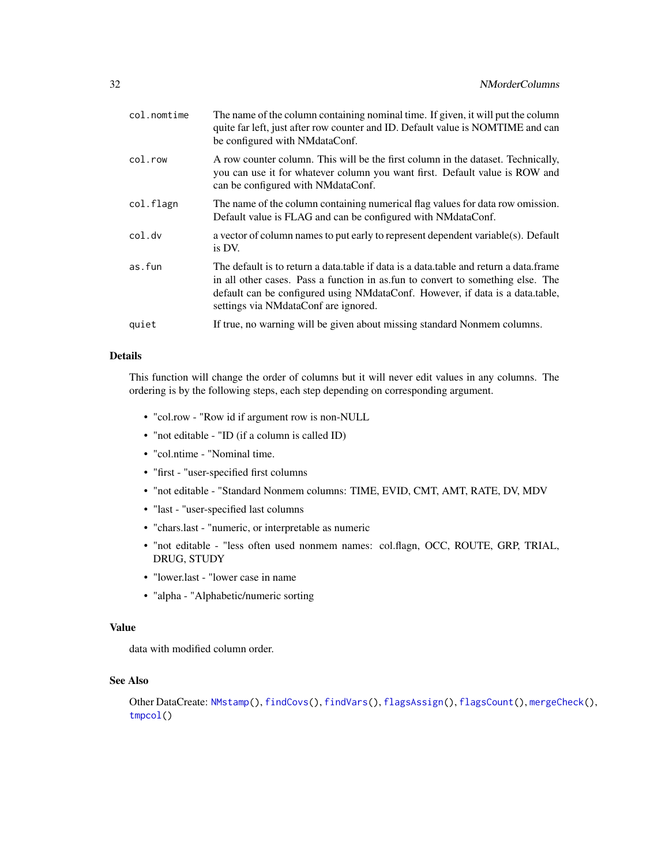<span id="page-31-0"></span>

| col.nomtime | The name of the column containing nominal time. If given, it will put the column<br>quite far left, just after row counter and ID. Default value is NOMTIME and can<br>be configured with NMdataConf.                                                                                                |
|-------------|------------------------------------------------------------------------------------------------------------------------------------------------------------------------------------------------------------------------------------------------------------------------------------------------------|
| col.row     | A row counter column. This will be the first column in the dataset. Technically,<br>you can use it for whatever column you want first. Default value is ROW and<br>can be configured with NMdataConf.                                                                                                |
| col.flagn   | The name of the column containing numerical flag values for data row omission.<br>Default value is FLAG and can be configured with NM dataConf.                                                                                                                                                      |
| col.dv      | a vector of column names to put early to represent dependent variable(s). Default<br>is DV.                                                                                                                                                                                                          |
| as.fun      | The default is to return a data, table if data is a data, table and return a data, frame<br>in all other cases. Pass a function in as fun to convert to something else. The<br>default can be configured using NMdataConf. However, if data is a data.table,<br>settings via NMdataConf are ignored. |
| quiet       | If true, no warning will be given about missing standard Nonmem columns.                                                                                                                                                                                                                             |

# Details

This function will change the order of columns but it will never edit values in any columns. The ordering is by the following steps, each step depending on corresponding argument.

- "col.row "Row id if argument row is non-NULL
- "not editable "ID (if a column is called ID)
- "col.ntime "Nominal time.
- "first "user-specified first columns
- "not editable "Standard Nonmem columns: TIME, EVID, CMT, AMT, RATE, DV, MDV
- "last "user-specified last columns
- "chars.last "numeric, or interpretable as numeric
- "not editable "less often used nonmem names: col.flagn, OCC, ROUTE, GRP, TRIAL, DRUG, STUDY
- "lower.last "lower case in name
- "alpha "Alphabetic/numeric sorting

#### Value

data with modified column order.

#### See Also

Other DataCreate: [NMstamp\(](#page-43-1)), [findCovs\(](#page-6-1)), [findVars\(](#page-7-1)), [flagsAssign\(](#page-8-1)), [flagsCount\(](#page-10-1)), [mergeCheck\(](#page-15-1)), [tmpcol\(](#page-0-0))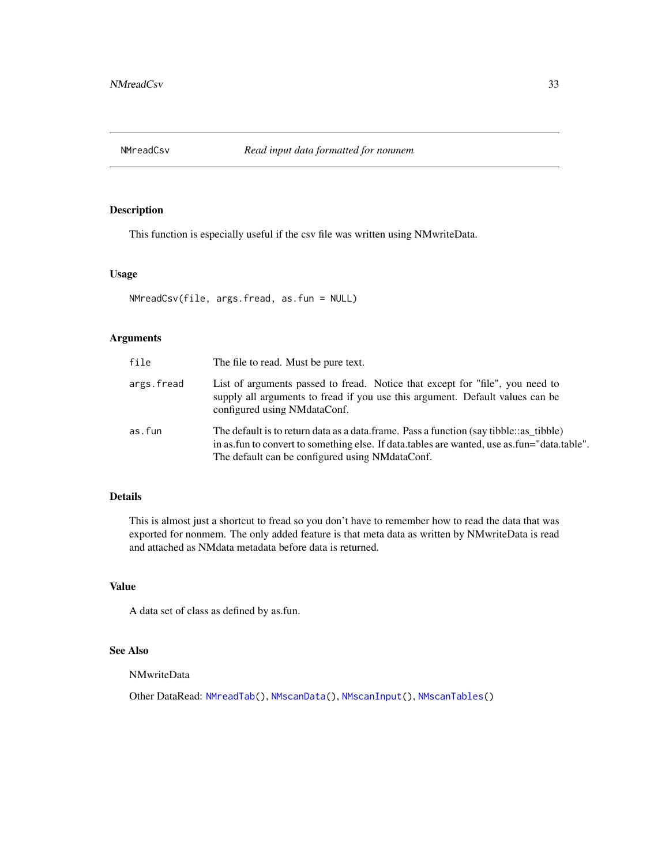<span id="page-32-1"></span><span id="page-32-0"></span>

# Description

This function is especially useful if the csv file was written using NMwriteData.

#### Usage

```
NMreadCsv(file, args.fread, as.fun = NULL)
```
#### Arguments

| file       | The file to read. Must be pure text.                                                                                                                                                                                                     |
|------------|------------------------------------------------------------------------------------------------------------------------------------------------------------------------------------------------------------------------------------------|
| args.fread | List of arguments passed to fread. Notice that except for "file", you need to<br>supply all arguments to fread if you use this argument. Default values can be<br>configured using NMdataConf.                                           |
| as.fun     | The default is to return data as a data frame. Pass a function (say tibble: as tibble)<br>in as fun to convert to something else. If data tables are wanted, use as fun="data table".<br>The default can be configured using NMdataConf. |

# Details

This is almost just a shortcut to fread so you don't have to remember how to read the data that was exported for nonmem. The only added feature is that meta data as written by NMwriteData is read and attached as NMdata metadata before data is returned.

# Value

A data set of class as defined by as.fun.

# See Also

NMwriteData

Other DataRead: [NMreadTab\(](#page-34-1)), [NMscanData\(](#page-35-1)), [NMscanInput\(](#page-39-1)), [NMscanTables\(](#page-42-1))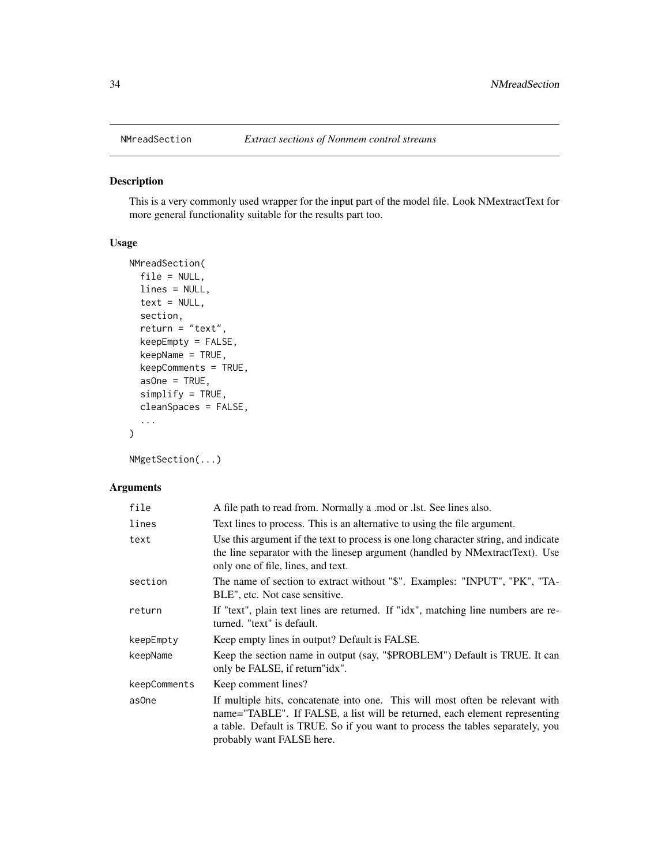<span id="page-33-1"></span><span id="page-33-0"></span>

# Description

This is a very commonly used wrapper for the input part of the model file. Look NMextractText for more general functionality suitable for the results part too.

#### Usage

```
NMreadSection(
  file = NULL,
 lines = NULL,
  text = NULL,section,
  return = "text",
  keepEmpty = FALSE,
  keepName = TRUE,
  keepComments = TRUE,
  asOne = TRUE,simplify = TRUE,
  cleanSpaces = FALSE,
  ...
\mathcal{L}
```
NMgetSection(...)

| file         | A file path to read from. Normally a mod or .1st. See lines also.                                                                                                                                                                                                          |
|--------------|----------------------------------------------------------------------------------------------------------------------------------------------------------------------------------------------------------------------------------------------------------------------------|
| lines        | Text lines to process. This is an alternative to using the file argument.                                                                                                                                                                                                  |
| text         | Use this argument if the text to process is one long character string, and indicate<br>the line separator with the linesep argument (handled by NMextractText). Use<br>only one of file, lines, and text.                                                                  |
| section      | The name of section to extract without "\$". Examples: "INPUT", "PK", "TA-<br>BLE", etc. Not case sensitive.                                                                                                                                                               |
| return       | If "text", plain text lines are returned. If "idx", matching line numbers are re-<br>turned. "text" is default.                                                                                                                                                            |
| keepEmpty    | Keep empty lines in output? Default is FALSE.                                                                                                                                                                                                                              |
| keepName     | Keep the section name in output (say, "\$PROBLEM") Default is TRUE. It can<br>only be FALSE, if return "idx".                                                                                                                                                              |
| keepComments | Keep comment lines?                                                                                                                                                                                                                                                        |
| as0ne        | If multiple hits, concatenate into one. This will most often be relevant with<br>name="TABLE". If FALSE, a list will be returned, each element representing<br>a table. Default is TRUE. So if you want to process the tables separately, you<br>probably want FALSE here. |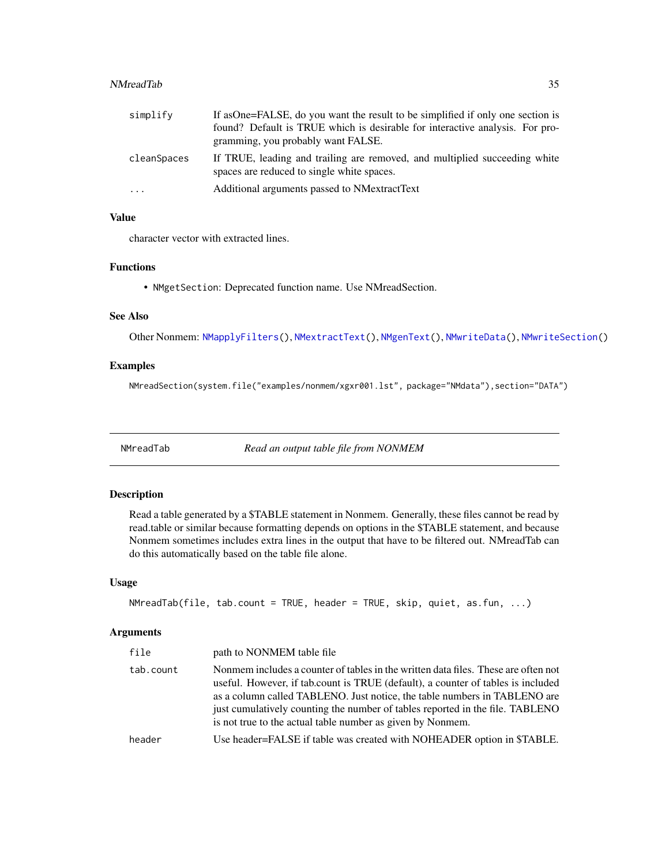#### <span id="page-34-0"></span>NMreadTab 35

| simplify    | If as One=FALSE, do you want the result to be simplified if only one section is                                          |
|-------------|--------------------------------------------------------------------------------------------------------------------------|
|             | found? Default is TRUE which is desirable for interactive analysis. For pro-                                             |
|             | gramming, you probably want FALSE.                                                                                       |
| cleanSpaces | If TRUE, leading and trailing are removed, and multiplied succeeding white<br>spaces are reduced to single white spaces. |
| $\ddots$ .  | Additional arguments passed to NMextractText                                                                             |

# Value

character vector with extracted lines.

#### Functions

• NMgetSection: Deprecated function name. Use NMreadSection.

#### See Also

Other Nonmem: [NMapplyFilters\(](#page-0-0)), [NMextractText\(](#page-25-1)), [NMgenText\(](#page-27-1)), [NMwriteData\(](#page-44-1)), [NMwriteSection\(](#page-46-1))

# Examples

NMreadSection(system.file("examples/nonmem/xgxr001.lst", package="NMdata"),section="DATA")

<span id="page-34-1"></span>NMreadTab *Read an output table file from NONMEM*

#### Description

Read a table generated by a \$TABLE statement in Nonmem. Generally, these files cannot be read by read.table or similar because formatting depends on options in the \$TABLE statement, and because Nonmem sometimes includes extra lines in the output that have to be filtered out. NMreadTab can do this automatically based on the table file alone.

# Usage

```
NMreadTab(file, tab.count = TRUE, header = TRUE, skip, quiet, as.fun, ...)
```

| file      | path to NONMEM table file                                                                                                                                                                                                                                                                                                                                                                          |
|-----------|----------------------------------------------------------------------------------------------------------------------------------------------------------------------------------------------------------------------------------------------------------------------------------------------------------------------------------------------------------------------------------------------------|
| tab.count | Nonmem includes a counter of tables in the written data files. These are often not<br>useful. However, if tab.count is TRUE (default), a counter of tables is included<br>as a column called TABLENO. Just notice, the table numbers in TABLENO are<br>just cumulatively counting the number of tables reported in the file. TABLENO<br>is not true to the actual table number as given by Nonmem. |
| header    | Use header=FALSE if table was created with NOHEADER option in \$TABLE.                                                                                                                                                                                                                                                                                                                             |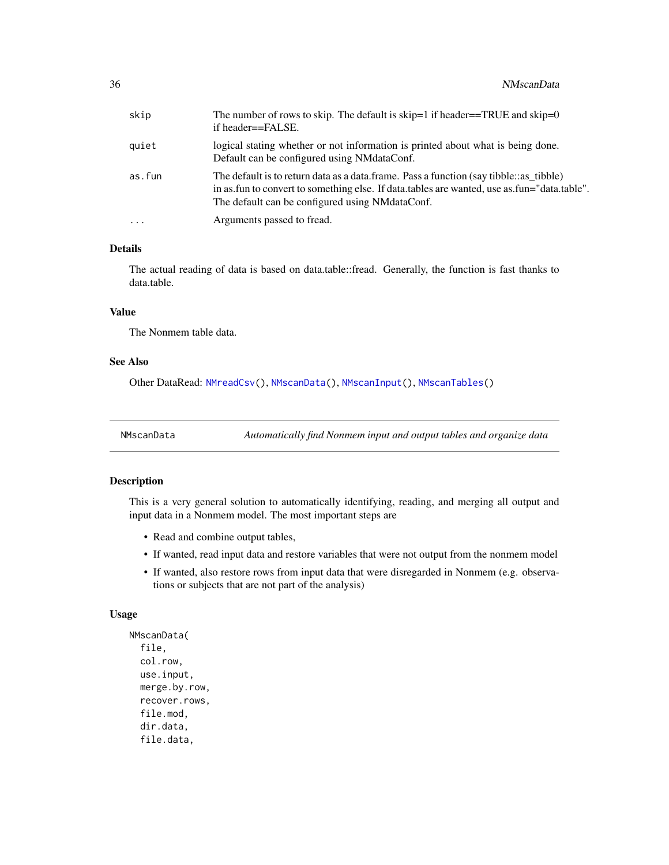<span id="page-35-0"></span>

| skip       | The number of rows to skip. The default is skip=1 if header==TRUE and skip=0<br>if header==FALSE.                                                                                                                                          |
|------------|--------------------------------------------------------------------------------------------------------------------------------------------------------------------------------------------------------------------------------------------|
| quiet      | logical stating whether or not information is printed about what is being done.<br>Default can be configured using NMdataConf.                                                                                                             |
| as.fun     | The default is to return data as a data frame. Pass a function (say tibble: as tibble)<br>in as fun to convert to something else. If data tables are wanted, use as fun="data table".<br>The default can be configured using NM data Conf. |
| $\ddots$ . | Arguments passed to fread.                                                                                                                                                                                                                 |
|            |                                                                                                                                                                                                                                            |

# Details

The actual reading of data is based on data.table::fread. Generally, the function is fast thanks to data.table.

#### Value

The Nonmem table data.

### See Also

Other DataRead: [NMreadCsv\(](#page-32-1)), [NMscanData\(](#page-35-1)), [NMscanInput\(](#page-39-1)), [NMscanTables\(](#page-42-1))

<span id="page-35-1"></span>NMscanData *Automatically find Nonmem input and output tables and organize data*

#### Description

This is a very general solution to automatically identifying, reading, and merging all output and input data in a Nonmem model. The most important steps are

- Read and combine output tables,
- If wanted, read input data and restore variables that were not output from the nonmem model
- If wanted, also restore rows from input data that were disregarded in Nonmem (e.g. observations or subjects that are not part of the analysis)

#### Usage

```
NMscanData(
  file,
  col.row,
  use.input,
 merge.by.row,
  recover.rows,
  file.mod,
  dir.data,
  file.data,
```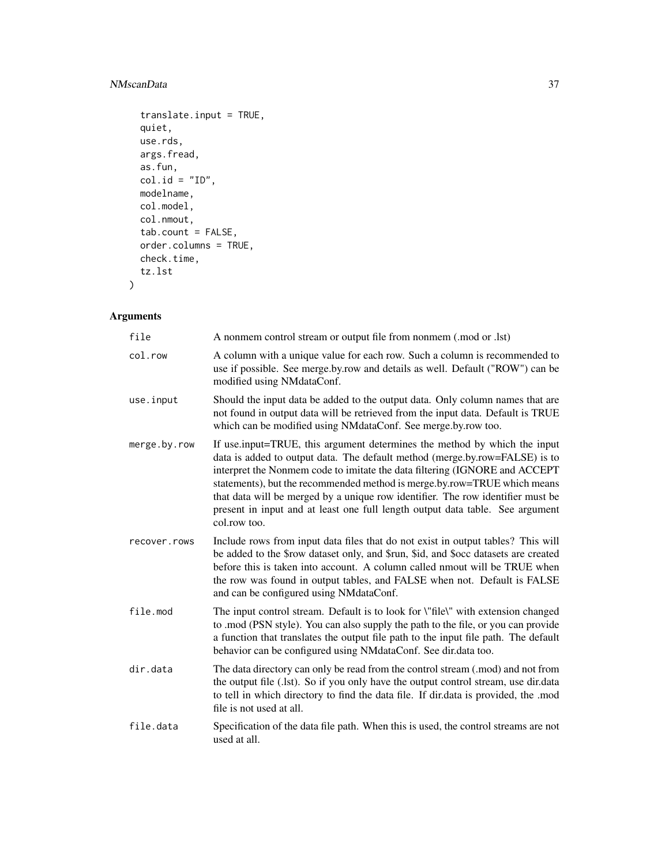# NMscanData 37

```
translate.input = TRUE,
quiet,
use.rds,
args.fread,
as.fun,
col.id = "ID",modelname,
col.model,
col.nmout,
tab.count = FALSE,
order.columns = TRUE,
check.time,
tz.lst
```
# Arguments

 $\mathcal{L}$ 

| file         | A nonmem control stream or output file from nonmem (.mod or .lst)                                                                                                                                                                                                                                                                                                                                                                                                                                      |
|--------------|--------------------------------------------------------------------------------------------------------------------------------------------------------------------------------------------------------------------------------------------------------------------------------------------------------------------------------------------------------------------------------------------------------------------------------------------------------------------------------------------------------|
| col.row      | A column with a unique value for each row. Such a column is recommended to<br>use if possible. See merge.by.row and details as well. Default ("ROW") can be<br>modified using NMdataConf.                                                                                                                                                                                                                                                                                                              |
| use.input    | Should the input data be added to the output data. Only column names that are<br>not found in output data will be retrieved from the input data. Default is TRUE<br>which can be modified using NMdataConf. See merge.by.row too.                                                                                                                                                                                                                                                                      |
| merge.by.row | If use input=TRUE, this argument determines the method by which the input<br>data is added to output data. The default method (merge.by.row=FALSE) is to<br>interpret the Nonmem code to imitate the data filtering (IGNORE and ACCEPT<br>statements), but the recommended method is merge.by.row=TRUE which means<br>that data will be merged by a unique row identifier. The row identifier must be<br>present in input and at least one full length output data table. See argument<br>col.row too. |
| recover.rows | Include rows from input data files that do not exist in output tables? This will<br>be added to the \$row dataset only, and \$run, \$id, and \$occ datasets are created<br>before this is taken into account. A column called nmout will be TRUE when<br>the row was found in output tables, and FALSE when not. Default is FALSE<br>and can be configured using NMdataConf.                                                                                                                           |
| file.mod     | The input control stream. Default is to look for \"file\" with extension changed<br>to .mod (PSN style). You can also supply the path to the file, or you can provide<br>a function that translates the output file path to the input file path. The default<br>behavior can be configured using NMdataConf. See dir.data too.                                                                                                                                                                         |
| dir.data     | The data directory can only be read from the control stream (.mod) and not from<br>the output file (.lst). So if you only have the output control stream, use dir.data<br>to tell in which directory to find the data file. If dir.data is provided, the .mod<br>file is not used at all.                                                                                                                                                                                                              |
| file.data    | Specification of the data file path. When this is used, the control streams are not<br>used at all.                                                                                                                                                                                                                                                                                                                                                                                                    |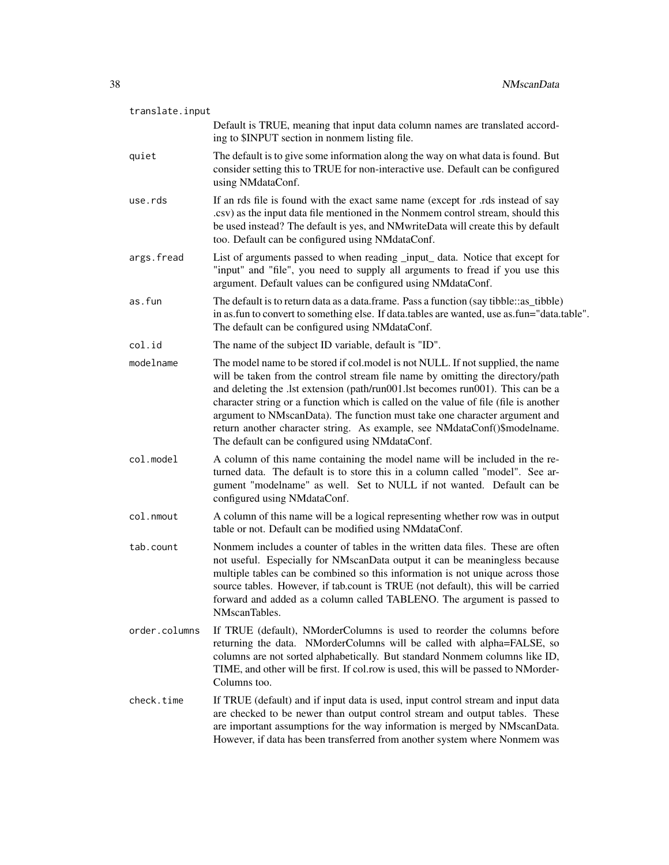| translate.input |                                                                                                                                                                                                                                                                                                                                                                                                                                                                                                                                                            |
|-----------------|------------------------------------------------------------------------------------------------------------------------------------------------------------------------------------------------------------------------------------------------------------------------------------------------------------------------------------------------------------------------------------------------------------------------------------------------------------------------------------------------------------------------------------------------------------|
|                 | Default is TRUE, meaning that input data column names are translated accord-<br>ing to \$INPUT section in nonmem listing file.                                                                                                                                                                                                                                                                                                                                                                                                                             |
| quiet           | The default is to give some information along the way on what data is found. But<br>consider setting this to TRUE for non-interactive use. Default can be configured<br>using NMdataConf.                                                                                                                                                                                                                                                                                                                                                                  |
| use.rds         | If an rds file is found with the exact same name (except for .rds instead of say<br>.csv) as the input data file mentioned in the Nonmem control stream, should this<br>be used instead? The default is yes, and NMwriteData will create this by default<br>too. Default can be configured using NMdataConf.                                                                                                                                                                                                                                               |
| args.fread      | List of arguments passed to when reading _input_ data. Notice that except for<br>"input" and "file", you need to supply all arguments to fread if you use this<br>argument. Default values can be configured using NMdataConf.                                                                                                                                                                                                                                                                                                                             |
| as.fun          | The default is to return data as a data.frame. Pass a function (say tibble:: as_tibble)<br>in as fun to convert to something else. If data tables are wanted, use as fun="data table".<br>The default can be configured using NMdataConf.                                                                                                                                                                                                                                                                                                                  |
| col.id          | The name of the subject ID variable, default is "ID".                                                                                                                                                                                                                                                                                                                                                                                                                                                                                                      |
| modelname       | The model name to be stored if col.model is not NULL. If not supplied, the name<br>will be taken from the control stream file name by omitting the directory/path<br>and deleting the .lst extension (path/run001.lst becomes run001). This can be a<br>character string or a function which is called on the value of file (file is another<br>argument to NMscanData). The function must take one character argument and<br>return another character string. As example, see NMdataConf()\$modelname.<br>The default can be configured using NMdataConf. |
| col.model       | A column of this name containing the model name will be included in the re-<br>turned data. The default is to store this in a column called "model". See ar-<br>gument "modelname" as well. Set to NULL if not wanted. Default can be<br>configured using NMdataConf.                                                                                                                                                                                                                                                                                      |
| col.nmout       | A column of this name will be a logical representing whether row was in output<br>table or not. Default can be modified using NMdataConf.                                                                                                                                                                                                                                                                                                                                                                                                                  |
| tab.count       | Nonmem includes a counter of tables in the written data files. These are often<br>not useful. Especially for NMscanData output it can be meaningless because<br>multiple tables can be combined so this information is not unique across those<br>source tables. However, if tab.count is TRUE (not default), this will be carried<br>forward and added as a column called TABLENO. The argument is passed to<br>NMscanTables.                                                                                                                             |
| order.columns   | If TRUE (default), NMorderColumns is used to reorder the columns before<br>returning the data. NMorderColumns will be called with alpha=FALSE, so<br>columns are not sorted alphabetically. But standard Nonmem columns like ID,<br>TIME, and other will be first. If col.row is used, this will be passed to NMorder-<br>Columns too.                                                                                                                                                                                                                     |
| check.time      | If TRUE (default) and if input data is used, input control stream and input data<br>are checked to be newer than output control stream and output tables. These<br>are important assumptions for the way information is merged by NMscanData.<br>However, if data has been transferred from another system where Nonmem was                                                                                                                                                                                                                                |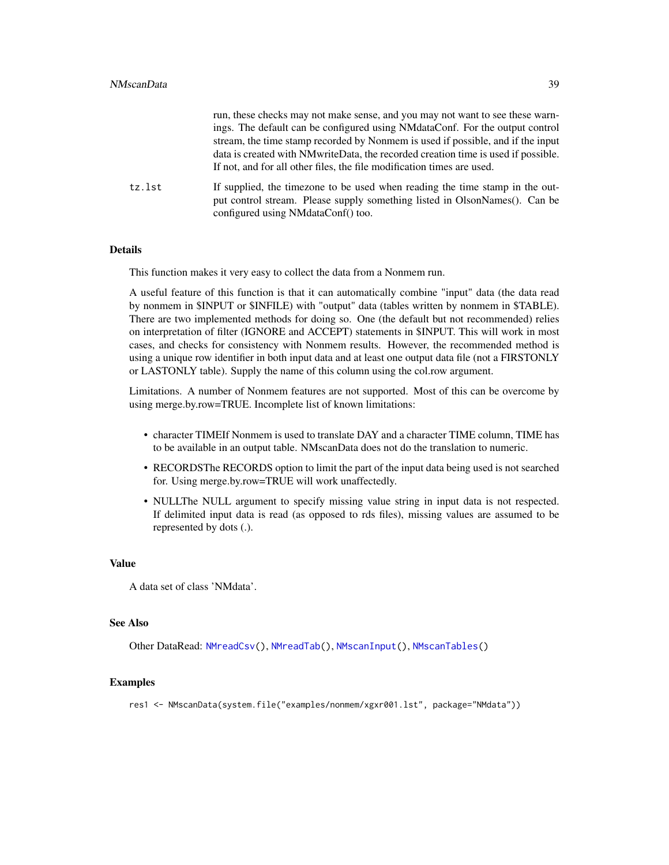<span id="page-38-0"></span>

|        | run, these checks may not make sense, and you may not want to see these warn-                                                                                                                    |
|--------|--------------------------------------------------------------------------------------------------------------------------------------------------------------------------------------------------|
|        | ings. The default can be configured using NMdataConf. For the output control                                                                                                                     |
|        | stream, the time stamp recorded by Nonmem is used if possible, and if the input                                                                                                                  |
|        | data is created with NM write Data, the recorded creation time is used if possible.                                                                                                              |
|        | If not, and for all other files, the file modification times are used.                                                                                                                           |
| tz.lst | If supplied, the timezone to be used when reading the time stamp in the out-<br>put control stream. Please supply something listed in OlsonNames(). Can be<br>configured using NMdataConf() too. |

#### Details

This function makes it very easy to collect the data from a Nonmem run.

A useful feature of this function is that it can automatically combine "input" data (the data read by nonmem in \$INPUT or \$INFILE) with "output" data (tables written by nonmem in \$TABLE). There are two implemented methods for doing so. One (the default but not recommended) relies on interpretation of filter (IGNORE and ACCEPT) statements in \$INPUT. This will work in most cases, and checks for consistency with Nonmem results. However, the recommended method is using a unique row identifier in both input data and at least one output data file (not a FIRSTONLY or LASTONLY table). Supply the name of this column using the col.row argument.

Limitations. A number of Nonmem features are not supported. Most of this can be overcome by using merge.by.row=TRUE. Incomplete list of known limitations:

- character TIMEIf Nonmem is used to translate DAY and a character TIME column, TIME has to be available in an output table. NMscanData does not do the translation to numeric.
- RECORDSThe RECORDS option to limit the part of the input data being used is not searched for. Using merge.by.row=TRUE will work unaffectedly.
- NULLThe NULL argument to specify missing value string in input data is not respected. If delimited input data is read (as opposed to rds files), missing values are assumed to be represented by dots (.).

#### Value

A data set of class 'NMdata'.

#### See Also

Other DataRead: [NMreadCsv\(](#page-32-1)), [NMreadTab\(](#page-34-1)), [NMscanInput\(](#page-39-1)), [NMscanTables\(](#page-42-1))

#### Examples

res1 <- NMscanData(system.file("examples/nonmem/xgxr001.lst", package="NMdata"))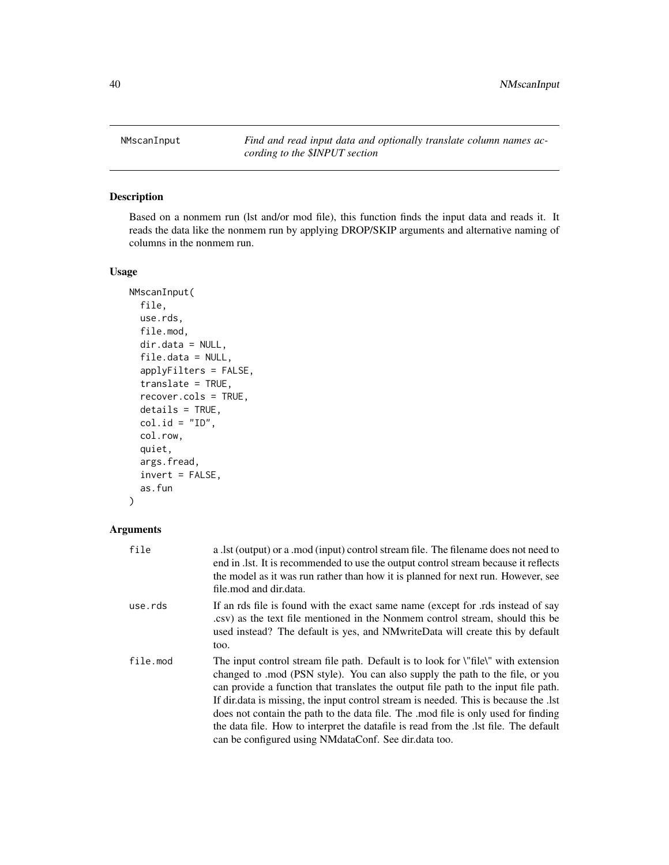<span id="page-39-1"></span><span id="page-39-0"></span>NMscanInput *Find and read input data and optionally translate column names according to the \$INPUT section*

# Description

Based on a nonmem run (lst and/or mod file), this function finds the input data and reads it. It reads the data like the nonmem run by applying DROP/SKIP arguments and alternative naming of columns in the nonmem run.

#### Usage

```
NMscanInput(
  file,
  use.rds,
  file.mod,
  dir.data = NULL,file.data = NULL,
  applyFilters = FALSE,
  translate = TRUE,
  recover.cols = TRUE,
  details = TRUE,
  col.id = "ID",col.row,
  quiet,
  args.fread,
  invert = FALSE,
  as.fun
)
```

| file     | a .1st (output) or a .mod (input) control stream file. The filename does not need to<br>end in .1st. It is recommended to use the output control stream because it reflects<br>the model as it was run rather than how it is planned for next run. However, see<br>file, mod and dir.data.                                                                                                                                                                                                                                                                                                          |
|----------|-----------------------------------------------------------------------------------------------------------------------------------------------------------------------------------------------------------------------------------------------------------------------------------------------------------------------------------------------------------------------------------------------------------------------------------------------------------------------------------------------------------------------------------------------------------------------------------------------------|
| use.rds  | If an rds file is found with the exact same name (except for .rds instead of say<br>csv) as the text file mentioned in the Nonmem control stream, should this be<br>used instead? The default is yes, and NM write Data will create this by default<br>too.                                                                                                                                                                                                                                                                                                                                         |
| file.mod | The input control stream file path. Default is to look for <i>\"file</i> \" with extension<br>changed to .mod (PSN style). You can also supply the path to the file, or you<br>can provide a function that translates the output file path to the input file path.<br>If dir. data is missing, the input control stream is needed. This is because the lst<br>does not contain the path to the data file. The mod file is only used for finding<br>the data file. How to interpret the datafile is read from the . Ist file. The default<br>can be configured using NM dataConf. See dir. data too. |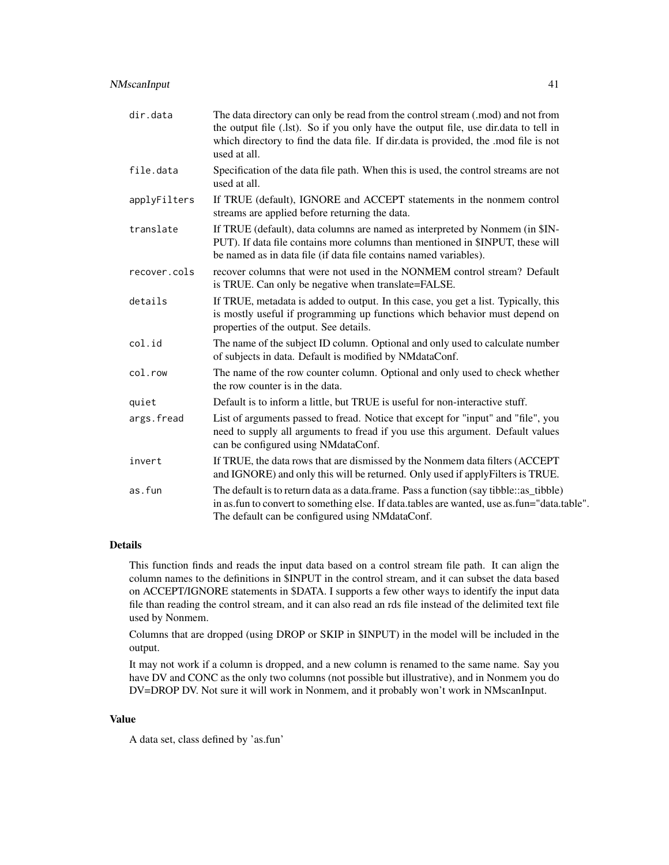# NMscanInput 41

| dir.data     | The data directory can only be read from the control stream (.mod) and not from<br>the output file (.lst). So if you only have the output file, use dir.data to tell in<br>which directory to find the data file. If dir.data is provided, the .mod file is not<br>used at all. |
|--------------|---------------------------------------------------------------------------------------------------------------------------------------------------------------------------------------------------------------------------------------------------------------------------------|
| file.data    | Specification of the data file path. When this is used, the control streams are not<br>used at all.                                                                                                                                                                             |
| applyFilters | If TRUE (default), IGNORE and ACCEPT statements in the nonmem control<br>streams are applied before returning the data.                                                                                                                                                         |
| translate    | If TRUE (default), data columns are named as interpreted by Nonmem (in \$IN-<br>PUT). If data file contains more columns than mentioned in \$INPUT, these will<br>be named as in data file (if data file contains named variables).                                             |
| recover.cols | recover columns that were not used in the NONMEM control stream? Default<br>is TRUE. Can only be negative when translate=FALSE.                                                                                                                                                 |
| details      | If TRUE, metadata is added to output. In this case, you get a list. Typically, this<br>is mostly useful if programming up functions which behavior must depend on<br>properties of the output. See details.                                                                     |
| col.id       | The name of the subject ID column. Optional and only used to calculate number<br>of subjects in data. Default is modified by NMdataConf.                                                                                                                                        |
| col.row      | The name of the row counter column. Optional and only used to check whether<br>the row counter is in the data.                                                                                                                                                                  |
| quiet        | Default is to inform a little, but TRUE is useful for non-interactive stuff.                                                                                                                                                                                                    |
| args.fread   | List of arguments passed to fread. Notice that except for "input" and "file", you<br>need to supply all arguments to fread if you use this argument. Default values<br>can be configured using NMdataConf.                                                                      |
| invert       | If TRUE, the data rows that are dismissed by the Nonmem data filters (ACCEPT<br>and IGNORE) and only this will be returned. Only used if apply Filters is TRUE.                                                                                                                 |
| as.fun       | The default is to return data as a data.frame. Pass a function (say tibble: : as_tibble)<br>in as fun to convert to something else. If data tables are wanted, use as fun="data table".<br>The default can be configured using NMdataConf.                                      |

#### Details

This function finds and reads the input data based on a control stream file path. It can align the column names to the definitions in \$INPUT in the control stream, and it can subset the data based on ACCEPT/IGNORE statements in \$DATA. I supports a few other ways to identify the input data file than reading the control stream, and it can also read an rds file instead of the delimited text file used by Nonmem.

Columns that are dropped (using DROP or SKIP in \$INPUT) in the model will be included in the output.

It may not work if a column is dropped, and a new column is renamed to the same name. Say you have DV and CONC as the only two columns (not possible but illustrative), and in Nonmem you do DV=DROP DV. Not sure it will work in Nonmem, and it probably won't work in NMscanInput.

# Value

A data set, class defined by 'as.fun'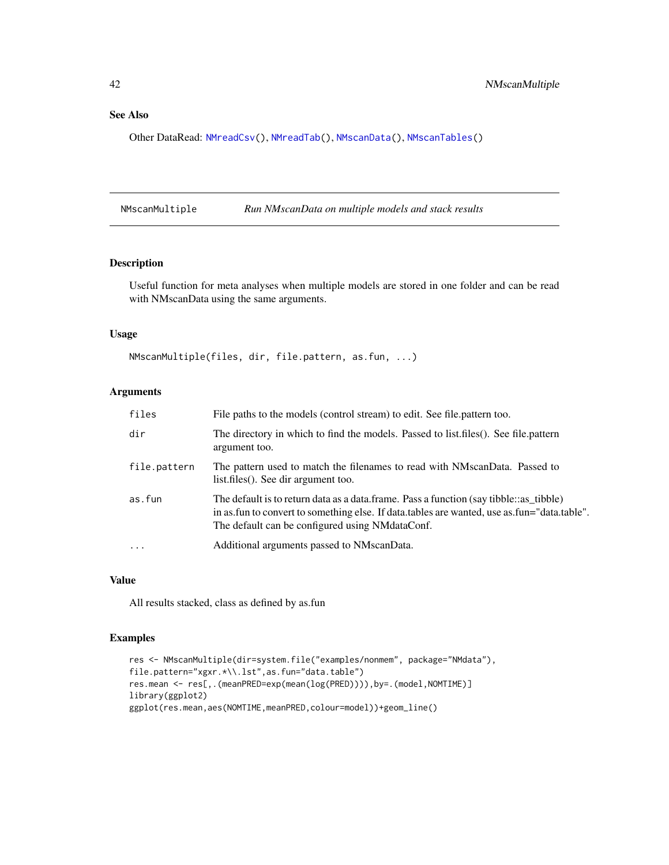<span id="page-41-0"></span>Other DataRead: [NMreadCsv\(](#page-32-1)), [NMreadTab\(](#page-34-1)), [NMscanData\(](#page-35-1)), [NMscanTables\(](#page-42-1))

NMscanMultiple *Run NMscanData on multiple models and stack results*

# Description

Useful function for meta analyses when multiple models are stored in one folder and can be read with NMscanData using the same arguments.

#### Usage

```
NMscanMultiple(files, dir, file.pattern, as.fun, ...)
```
# Arguments

| files        | File paths to the models (control stream) to edit. See file.pattern too.                                                                                                                                                                   |
|--------------|--------------------------------------------------------------------------------------------------------------------------------------------------------------------------------------------------------------------------------------------|
| dir          | The directory in which to find the models. Passed to list, files (). See file, pattern<br>argument too.                                                                                                                                    |
| file.pattern | The pattern used to match the filenames to read with NMscanData. Passed to<br>list.files(). See dir argument too.                                                                                                                          |
| as.fun       | The default is to return data as a data.frame. Pass a function (say tibble: as_tibble)<br>in as fun to convert to something else. If data tables are wanted, use as fun="data table".<br>The default can be configured using NM data Conf. |
| $\cdots$     | Additional arguments passed to NMscanData.                                                                                                                                                                                                 |

# Value

All results stacked, class as defined by as.fun

# Examples

```
res <- NMscanMultiple(dir=system.file("examples/nonmem", package="NMdata"),
file.pattern="xgxr.*\\.lst",as.fun="data.table")
res.mean <- res[,.(meanPRED=exp(mean(log(PRED)))),by=.(model,NOMTIME)]
library(ggplot2)
ggplot(res.mean,aes(NOMTIME,meanPRED,colour=model))+geom_line()
```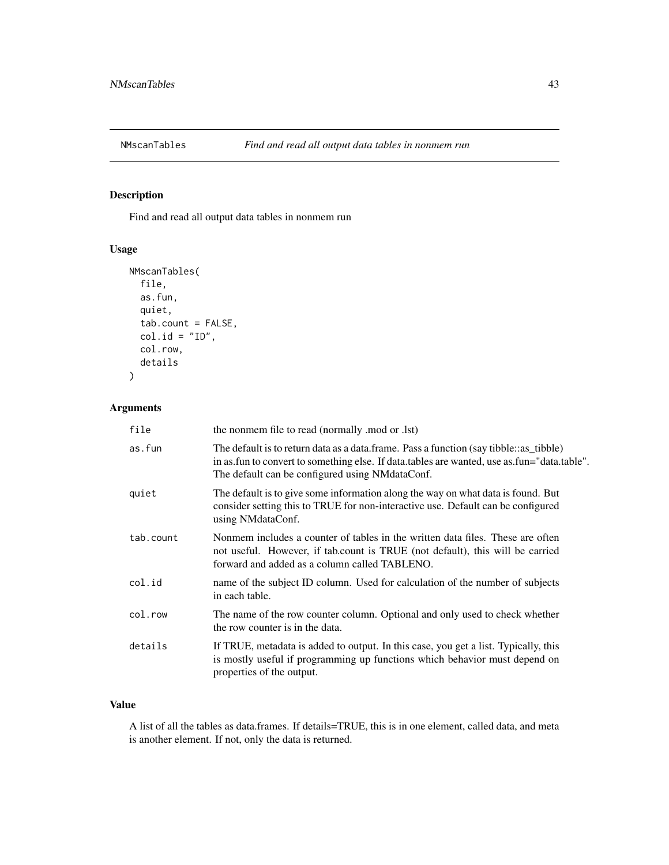<span id="page-42-1"></span><span id="page-42-0"></span>

# Description

Find and read all output data tables in nonmem run

# Usage

```
NMscanTables(
  file,
  as.fun,
  quiet,
  tab.count = FALSE,
  col.id = "ID",col.row,
  details
)
```
# Arguments

| file      | the nonmem file to read (normally .mod or .lst)                                                                                                                                                                                          |
|-----------|------------------------------------------------------------------------------------------------------------------------------------------------------------------------------------------------------------------------------------------|
| as.fun    | The default is to return data as a data.frame. Pass a function (say tibble: as_tibble)<br>in as fun to convert to something else. If data tables are wanted, use as fun="data table".<br>The default can be configured using NMdataConf. |
| quiet     | The default is to give some information along the way on what data is found. But<br>consider setting this to TRUE for non-interactive use. Default can be configured<br>using NMdataConf.                                                |
| tab.count | Nonmem includes a counter of tables in the written data files. These are often<br>not useful. However, if tab.count is TRUE (not default), this will be carried<br>forward and added as a column called TABLENO.                         |
| col.id    | name of the subject ID column. Used for calculation of the number of subjects<br>in each table.                                                                                                                                          |
| col.row   | The name of the row counter column. Optional and only used to check whether<br>the row counter is in the data.                                                                                                                           |
| details   | If TRUE, metadata is added to output. In this case, you get a list. Typically, this<br>is mostly useful if programming up functions which behavior must depend on<br>properties of the output.                                           |

# Value

A list of all the tables as data.frames. If details=TRUE, this is in one element, called data, and meta is another element. If not, only the data is returned.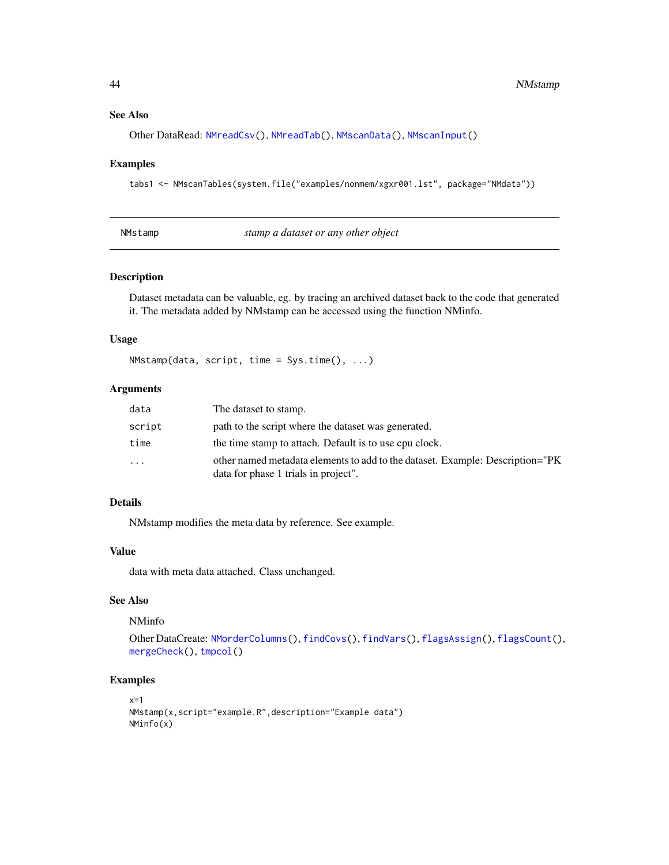#### See Also

Other DataRead: [NMreadCsv\(](#page-32-1)), [NMreadTab\(](#page-34-1)), [NMscanData\(](#page-35-1)), [NMscanInput\(](#page-39-1))

#### Examples

```
tabs1 <- NMscanTables(system.file("examples/nonmem/xgxr001.lst", package="NMdata"))
```
<span id="page-43-1"></span>

|  | NMstamp |  |
|--|---------|--|
|--|---------|--|

stamp a dataset or any other object

#### Description

Dataset metadata can be valuable, eg. by tracing an archived dataset back to the code that generated it. The metadata added by NMstamp can be accessed using the function NMinfo.

#### Usage

NMstamp(data, script, time = Sys.time(), ...)

#### Arguments

| data     | The dataset to stamp.                                                                                                 |
|----------|-----------------------------------------------------------------------------------------------------------------------|
| script   | path to the script where the dataset was generated.                                                                   |
| time     | the time stamp to attach. Default is to use cpu clock.                                                                |
| $\cdots$ | other named metadata elements to add to the dataset. Example: Description="PK<br>data for phase 1 trials in project". |

# Details

NMstamp modifies the meta data by reference. See example.

#### Value

data with meta data attached. Class unchanged.

# See Also

NMinfo

```
Other DataCreate: NMorderColumns(), findCovs(), findVars(), flagsAssign(), flagsCount(),
mergeCheck(), tmpcol()
```
#### Examples

```
x=1NMstamp(x,script="example.R",description="Example data")
NMinfo(x)
```
<span id="page-43-0"></span>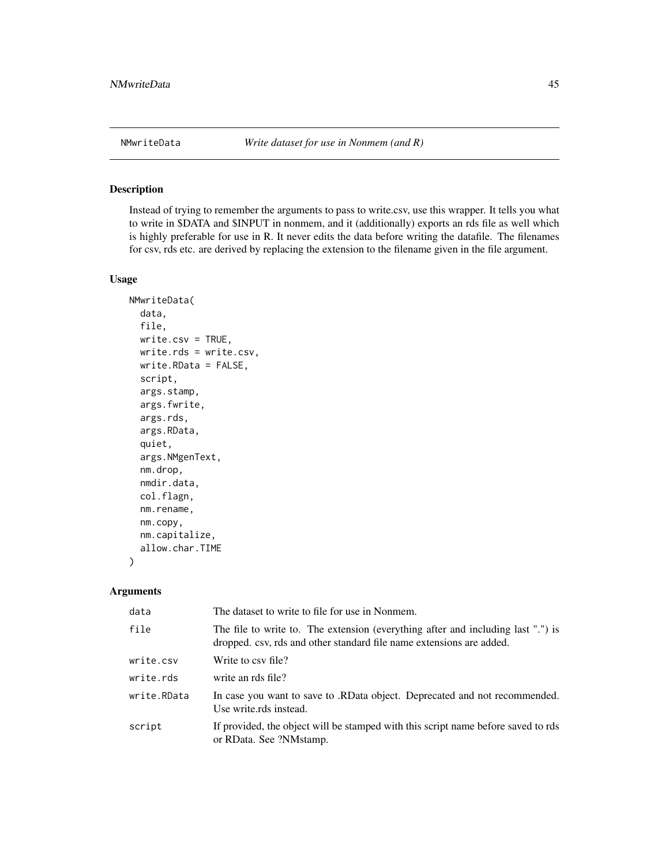<span id="page-44-1"></span><span id="page-44-0"></span>

#### Description

Instead of trying to remember the arguments to pass to write.csv, use this wrapper. It tells you what to write in \$DATA and \$INPUT in nonmem, and it (additionally) exports an rds file as well which is highly preferable for use in R. It never edits the data before writing the datafile. The filenames for csv, rds etc. are derived by replacing the extension to the filename given in the file argument.

#### Usage

```
NMwriteData(
  data,
  file,
  write.csv = TRUE,
 write.rds = write.csv,
 write.RData = FALSE,
  script,
  args.stamp,
  args.fwrite,
  args.rds,
  args.RData,
  quiet,
  args.NMgenText,
  nm.drop,
  nmdir.data,
  col.flagn,
  nm.rename,
  nm.copy,
  nm.capitalize,
  allow.char.TIME
)
```

| data        | The dataset to write to file for use in Nonmem.                                                                                                          |
|-------------|----------------------------------------------------------------------------------------------------------------------------------------------------------|
| file        | The file to write to. The extension (everything after and including last ".") is<br>dropped. csv, rds and other standard file name extensions are added. |
| write.csv   | Write to csy file?                                                                                                                                       |
| write.rds   | write an rds file?                                                                                                                                       |
| write.RData | In case you want to save to .RData object. Deprecated and not recommended.<br>Use write.rds instead.                                                     |
| script      | If provided, the object will be stamped with this script name before saved to rds<br>or RData. See ?NMstamp.                                             |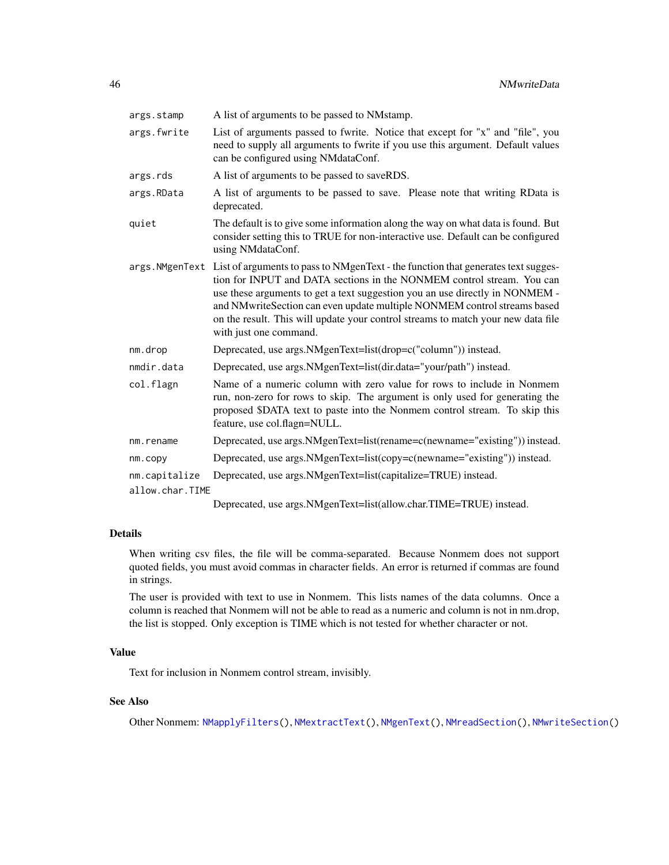<span id="page-45-0"></span>

| args.stamp      | A list of arguments to be passed to NMstamp.                                                                                                                                                                                                                                                                                                                                                                                                          |
|-----------------|-------------------------------------------------------------------------------------------------------------------------------------------------------------------------------------------------------------------------------------------------------------------------------------------------------------------------------------------------------------------------------------------------------------------------------------------------------|
| args.fwrite     | List of arguments passed to fwrite. Notice that except for "x" and "file", you<br>need to supply all arguments to fwrite if you use this argument. Default values<br>can be configured using NMdataConf.                                                                                                                                                                                                                                              |
| args.rds        | A list of arguments to be passed to saveRDS.                                                                                                                                                                                                                                                                                                                                                                                                          |
| args.RData      | A list of arguments to be passed to save. Please note that writing RData is<br>deprecated.                                                                                                                                                                                                                                                                                                                                                            |
| quiet           | The default is to give some information along the way on what data is found. But<br>consider setting this to TRUE for non-interactive use. Default can be configured<br>using NMdataConf.                                                                                                                                                                                                                                                             |
|                 | args. NMgenText List of arguments to pass to NMgenText - the function that generates text sugges-<br>tion for INPUT and DATA sections in the NONMEM control stream. You can<br>use these arguments to get a text suggestion you an use directly in NONMEM -<br>and NMwriteSection can even update multiple NONMEM control streams based<br>on the result. This will update your control streams to match your new data file<br>with just one command. |
| nm.drop         | Deprecated, use args. NMgenText=list(drop=c("column")) instead.                                                                                                                                                                                                                                                                                                                                                                                       |
| nmdir.data      | Deprecated, use args.NMgenText=list(dir.data="your/path") instead.                                                                                                                                                                                                                                                                                                                                                                                    |
| col.flagn       | Name of a numeric column with zero value for rows to include in Nonmem<br>run, non-zero for rows to skip. The argument is only used for generating the<br>proposed \$DATA text to paste into the Nonmem control stream. To skip this<br>feature, use col.flagn=NULL.                                                                                                                                                                                  |
| nm.rename       | Deprecated, use args. NMgenText=list(rename=c(newname="existing")) instead.                                                                                                                                                                                                                                                                                                                                                                           |
| nm.copy         | Deprecated, use args. NMgenText=list(copy=c(newname="existing")) instead.                                                                                                                                                                                                                                                                                                                                                                             |
| nm.capitalize   | Deprecated, use args.NMgenText=list(capitalize=TRUE) instead.                                                                                                                                                                                                                                                                                                                                                                                         |
| allow.char.TIME |                                                                                                                                                                                                                                                                                                                                                                                                                                                       |

Deprecated, use args.NMgenText=list(allow.char.TIME=TRUE) instead.

#### Details

When writing csv files, the file will be comma-separated. Because Nonmem does not support quoted fields, you must avoid commas in character fields. An error is returned if commas are found in strings.

The user is provided with text to use in Nonmem. This lists names of the data columns. Once a column is reached that Nonmem will not be able to read as a numeric and column is not in nm.drop, the list is stopped. Only exception is TIME which is not tested for whether character or not.

# Value

Text for inclusion in Nonmem control stream, invisibly.

# See Also

Other Nonmem: [NMapplyFilters\(](#page-0-0)), [NMextractText\(](#page-25-1)), [NMgenText\(](#page-27-1)), [NMreadSection\(](#page-33-1)), [NMwriteSection\(](#page-46-1))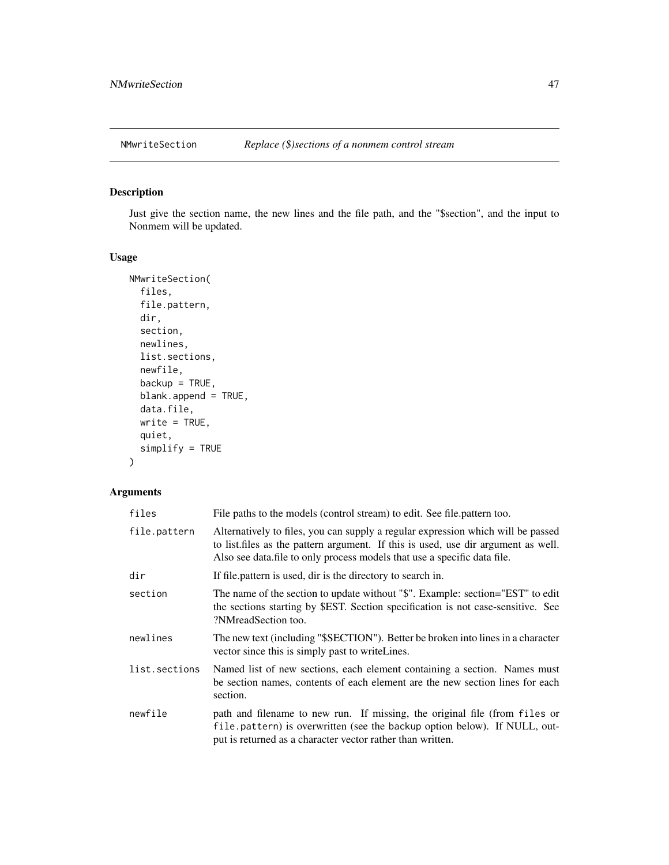<span id="page-46-1"></span><span id="page-46-0"></span>

# Description

Just give the section name, the new lines and the file path, and the "\$section", and the input to Nonmem will be updated.

# Usage

```
NMwriteSection(
  files,
  file.pattern,
  dir,
  section,
  newlines,
  list.sections,
  newfile,
  backup = TRUE,blank.append = TRUE,
  data.file,
  write = TRUE,
  quiet,
  simplify = TRUE
)
```

| files         | File paths to the models (control stream) to edit. See file pattern too.                                                                                                                                                                           |
|---------------|----------------------------------------------------------------------------------------------------------------------------------------------------------------------------------------------------------------------------------------------------|
| file.pattern  | Alternatively to files, you can supply a regular expression which will be passed<br>to list, files as the pattern argument. If this is used, use dir argument as well.<br>Also see data.file to only process models that use a specific data file. |
| dir           | If file pattern is used, dir is the directory to search in.                                                                                                                                                                                        |
| section       | The name of the section to update without "\$". Example: section="EST" to edit<br>the sections starting by \$EST. Section specification is not case-sensitive. See<br>?NMreadSection too.                                                          |
| newlines      | The new text (including "\$SECTION"). Better be broken into lines in a character<br>vector since this is simply past to write Lines.                                                                                                               |
| list.sections | Named list of new sections, each element containing a section. Names must<br>be section names, contents of each element are the new section lines for each<br>section.                                                                             |
| newfile       | path and filename to new run. If missing, the original file (from files or<br>file.pattern) is overwritten (see the backup option below). If NULL, out-<br>put is returned as a character vector rather than written.                              |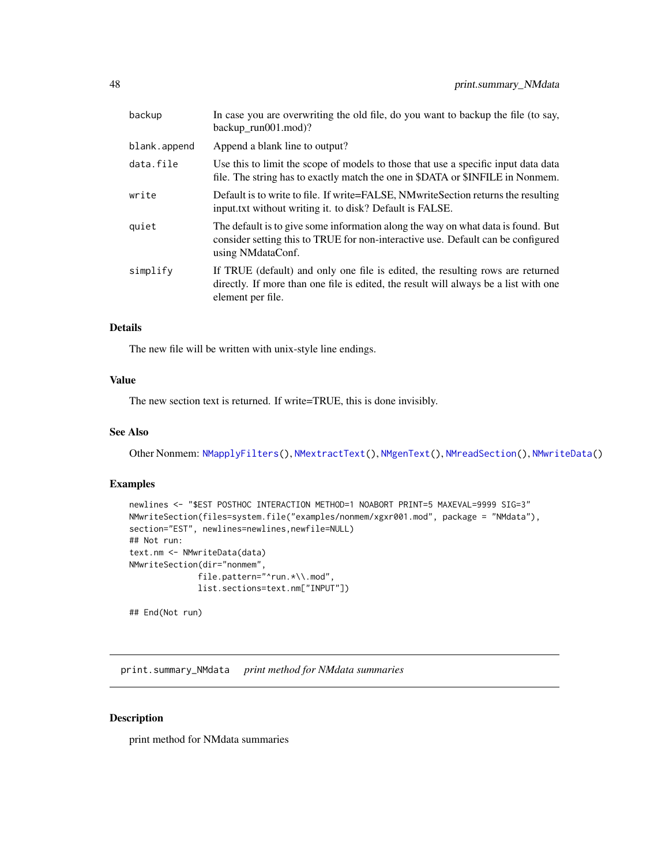<span id="page-47-0"></span>

| backup       | In case you are overwriting the old file, do you want to backup the file (to say,<br>backup $run001$ .mod)?                                                                                 |
|--------------|---------------------------------------------------------------------------------------------------------------------------------------------------------------------------------------------|
| blank.append | Append a blank line to output?                                                                                                                                                              |
| data.file    | Use this to limit the scope of models to those that use a specific input data data<br>file. The string has to exactly match the one in \$DATA or \$INFILE in Nonmem.                        |
| write        | Default is to write to file. If write=FALSE, NMwriteSection returns the resulting<br>input.txt without writing it. to disk? Default is FALSE.                                               |
| quiet        | The default is to give some information along the way on what data is found. But<br>consider setting this to TRUE for non-interactive use. Default can be configured<br>using NMdataConf.   |
| simplify     | If TRUE (default) and only one file is edited, the resulting rows are returned<br>directly. If more than one file is edited, the result will always be a list with one<br>element per file. |

#### Details

The new file will be written with unix-style line endings.

# Value

The new section text is returned. If write=TRUE, this is done invisibly.

# See Also

Other Nonmem: [NMapplyFilters\(](#page-0-0)), [NMextractText\(](#page-25-1)), [NMgenText\(](#page-27-1)), [NMreadSection\(](#page-33-1)), [NMwriteData\(](#page-44-1))

#### Examples

```
newlines <- "$EST POSTHOC INTERACTION METHOD=1 NOABORT PRINT=5 MAXEVAL=9999 SIG=3"
NMwriteSection(files=system.file("examples/nonmem/xgxr001.mod", package = "NMdata"),
section="EST", newlines=newlines,newfile=NULL)
## Not run:
text.nm <- NMwriteData(data)
NMwriteSection(dir="nonmem",
              file.pattern="^run.*\\.mod",
              list.sections=text.nm["INPUT"])
```
## End(Not run)

print.summary\_NMdata *print method for NMdata summaries*

#### Description

print method for NMdata summaries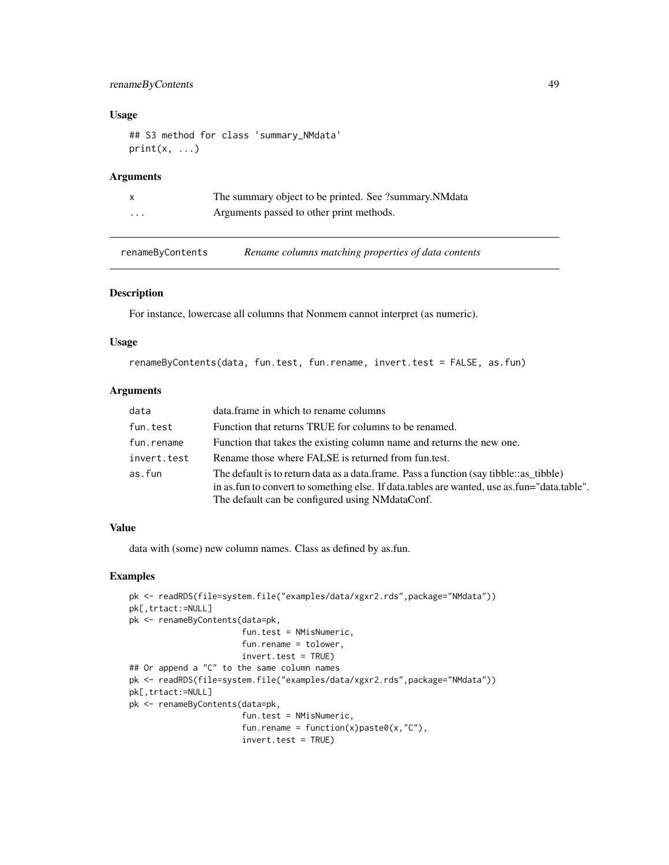# <span id="page-48-0"></span>renameByContents 49

### Usage

```
## S3 method for class 'summary_NMdata'
print(x, \ldots)
```
# Arguments

| X                       | The summary object to be printed. See ?summary. NM data |
|-------------------------|---------------------------------------------------------|
| $\cdot$ $\cdot$ $\cdot$ | Arguments passed to other print methods.                |

renameByContents *Rename columns matching properties of data contents*

# Description

For instance, lowercase all columns that Nonmem cannot interpret (as numeric).

#### Usage

renameByContents(data, fun.test, fun.rename, invert.test = FALSE, as.fun)

# Arguments

| data        | data.frame in which to rename columns                                                                                                                                                                                                       |
|-------------|---------------------------------------------------------------------------------------------------------------------------------------------------------------------------------------------------------------------------------------------|
| fun.test    | Function that returns TRUE for columns to be renamed.                                                                                                                                                                                       |
| fun.rename  | Function that takes the existing column name and returns the new one.                                                                                                                                                                       |
| invert.test | Rename those where FALSE is returned from fun.test.                                                                                                                                                                                         |
| as.fun      | The default is to return data as a data frame. Pass a function (say tibble: as _tibble)<br>in as fun to convert to something else. If data tables are wanted, use as fun="data table".<br>The default can be configured using NM data Conf. |

# Value

data with (some) new column names. Class as defined by as.fun.

# Examples

```
pk <- readRDS(file=system.file("examples/data/xgxr2.rds",package="NMdata"))
pk[,trtact:=NULL]
pk <- renameByContents(data=pk,
                       fun.test = NMisNumeric,
                       fun.rename = tolower,
                       invert.test = TRUE)
## Or append a "C" to the same column names
pk <- readRDS(file=system.file("examples/data/xgxr2.rds",package="NMdata"))
pk[,trtact:=NULL]
pk <- renameByContents(data=pk,
                       fun.test = NMisNumeric,
                       fun.rename = function(x)paste0(x,"C"),
                       invert.test = TRUE)
```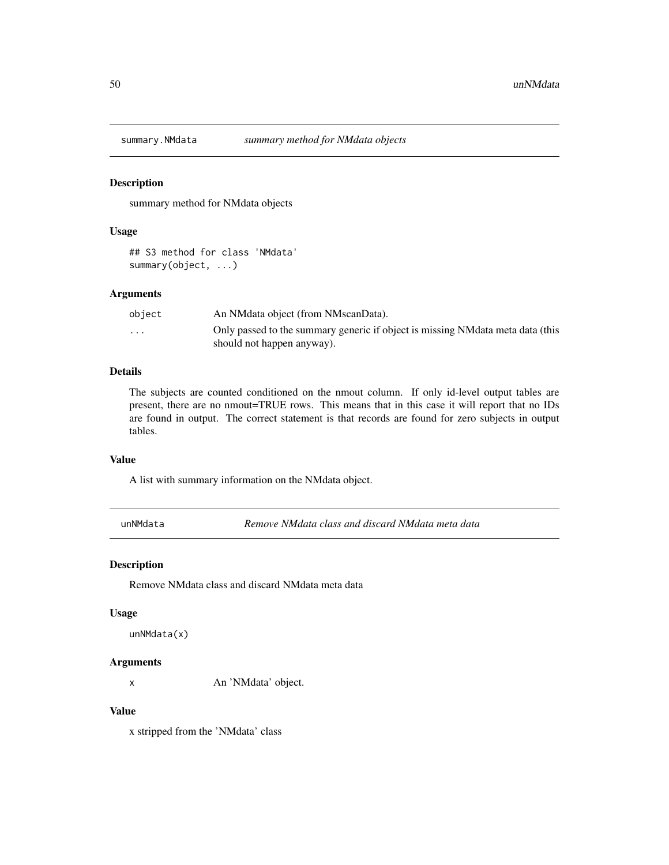<span id="page-49-0"></span>

#### Description

summary method for NMdata objects

#### Usage

## S3 method for class 'NMdata' summary(object, ...)

# Arguments

| obiect                  | An NM data object (from NM scan Data).                                          |
|-------------------------|---------------------------------------------------------------------------------|
| $\cdot$ $\cdot$ $\cdot$ | Only passed to the summary generic if object is missing NM data meta data (this |
|                         | should not happen anyway).                                                      |

# Details

The subjects are counted conditioned on the nmout column. If only id-level output tables are present, there are no nmout=TRUE rows. This means that in this case it will report that no IDs are found in output. The correct statement is that records are found for zero subjects in output tables.

#### Value

A list with summary information on the NMdata object.

unNMdata *Remove NMdata class and discard NMdata meta data*

#### Description

Remove NMdata class and discard NMdata meta data

#### Usage

unNMdata(x)

#### Arguments

x An 'NMdata' object.

#### Value

x stripped from the 'NMdata' class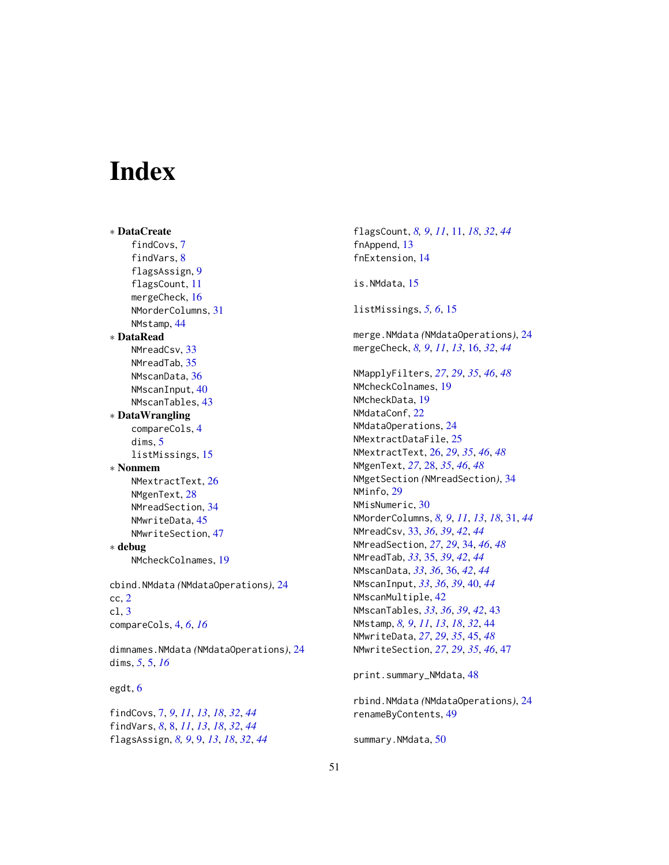# <span id="page-50-0"></span>**Index**

∗ DataCreate findCovs, [7](#page-6-0) findVars, [8](#page-7-0) flagsAssign, [9](#page-8-0) flagsCount, [11](#page-10-0) mergeCheck, [16](#page-15-0) NMorderColumns, [31](#page-30-0) NMstamp, [44](#page-43-0) ∗ DataRead NMreadCsv, [33](#page-32-0) NMreadTab, [35](#page-34-0) NMscanData, [36](#page-35-0) NMscanInput, [40](#page-39-0) NMscanTables, [43](#page-42-0) ∗ DataWrangling compareCols, [4](#page-3-0) dims, [5](#page-4-0) listMissings, [15](#page-14-0) ∗ Nonmem NMextractText, [26](#page-25-0) NMgenText, [28](#page-27-0) NMreadSection, [34](#page-33-0) NMwriteData, [45](#page-44-0) NMwriteSection, [47](#page-46-0) ∗ debug NMcheckColnames, [19](#page-18-0) cbind.NMdata *(*NMdataOperations*)*, [24](#page-23-0) cc, [2](#page-1-0) cl, [3](#page-2-0) compareCols, [4,](#page-3-0) *[6](#page-5-0)*, *[16](#page-15-0)* dimnames.NMdata *(*NMdataOperations*)*, [24](#page-23-0) dims, *[5](#page-4-0)*, [5,](#page-4-0) *[16](#page-15-0)* egdt, [6](#page-5-0)

findCovs, [7,](#page-6-0) *[9](#page-8-0)*, *[11](#page-10-0)*, *[13](#page-12-0)*, *[18](#page-17-0)*, *[32](#page-31-0)*, *[44](#page-43-0)* findVars, *[8](#page-7-0)*, [8,](#page-7-0) *[11](#page-10-0)*, *[13](#page-12-0)*, *[18](#page-17-0)*, *[32](#page-31-0)*, *[44](#page-43-0)* flagsAssign, *[8,](#page-7-0) [9](#page-8-0)*, [9,](#page-8-0) *[13](#page-12-0)*, *[18](#page-17-0)*, *[32](#page-31-0)*, *[44](#page-43-0)*

flagsCount, *[8,](#page-7-0) [9](#page-8-0)*, *[11](#page-10-0)*, [11,](#page-10-0) *[18](#page-17-0)*, *[32](#page-31-0)*, *[44](#page-43-0)* fnAppend, [13](#page-12-0) fnExtension, [14](#page-13-0) is.NMdata, [15](#page-14-0) listMissings, *[5,](#page-4-0) [6](#page-5-0)*, [15](#page-14-0) merge.NMdata *(*NMdataOperations*)*, [24](#page-23-0) mergeCheck, *[8,](#page-7-0) [9](#page-8-0)*, *[11](#page-10-0)*, *[13](#page-12-0)*, [16,](#page-15-0) *[32](#page-31-0)*, *[44](#page-43-0)* NMapplyFilters, *[27](#page-26-0)*, *[29](#page-28-0)*, *[35](#page-34-0)*, *[46](#page-45-0)*, *[48](#page-47-0)* NMcheckColnames, [19](#page-18-0) NMcheckData, [19](#page-18-0) NMdataConf, [22](#page-21-0) NMdataOperations, [24](#page-23-0) NMextractDataFile, [25](#page-24-0) NMextractText, [26,](#page-25-0) *[29](#page-28-0)*, *[35](#page-34-0)*, *[46](#page-45-0)*, *[48](#page-47-0)* NMgenText, *[27](#page-26-0)*, [28,](#page-27-0) *[35](#page-34-0)*, *[46](#page-45-0)*, *[48](#page-47-0)* NMgetSection *(*NMreadSection*)*, [34](#page-33-0) NMinfo, [29](#page-28-0) NMisNumeric, [30](#page-29-0) NMorderColumns, *[8,](#page-7-0) [9](#page-8-0)*, *[11](#page-10-0)*, *[13](#page-12-0)*, *[18](#page-17-0)*, [31,](#page-30-0) *[44](#page-43-0)* NMreadCsv, [33,](#page-32-0) *[36](#page-35-0)*, *[39](#page-38-0)*, *[42](#page-41-0)*, *[44](#page-43-0)* NMreadSection, *[27](#page-26-0)*, *[29](#page-28-0)*, [34,](#page-33-0) *[46](#page-45-0)*, *[48](#page-47-0)* NMreadTab, *[33](#page-32-0)*, [35,](#page-34-0) *[39](#page-38-0)*, *[42](#page-41-0)*, *[44](#page-43-0)* NMscanData, *[33](#page-32-0)*, *[36](#page-35-0)*, [36,](#page-35-0) *[42](#page-41-0)*, *[44](#page-43-0)* NMscanInput, *[33](#page-32-0)*, *[36](#page-35-0)*, *[39](#page-38-0)*, [40,](#page-39-0) *[44](#page-43-0)* NMscanMultiple, [42](#page-41-0) NMscanTables, *[33](#page-32-0)*, *[36](#page-35-0)*, *[39](#page-38-0)*, *[42](#page-41-0)*, [43](#page-42-0) NMstamp, *[8,](#page-7-0) [9](#page-8-0)*, *[11](#page-10-0)*, *[13](#page-12-0)*, *[18](#page-17-0)*, *[32](#page-31-0)*, [44](#page-43-0) NMwriteData, *[27](#page-26-0)*, *[29](#page-28-0)*, *[35](#page-34-0)*, [45,](#page-44-0) *[48](#page-47-0)* NMwriteSection, *[27](#page-26-0)*, *[29](#page-28-0)*, *[35](#page-34-0)*, *[46](#page-45-0)*, [47](#page-46-0)

print.summary\_NMdata, [48](#page-47-0)

rbind.NMdata *(*NMdataOperations*)*, [24](#page-23-0) renameByContents, [49](#page-48-0)

summary.NMdata, [50](#page-49-0)